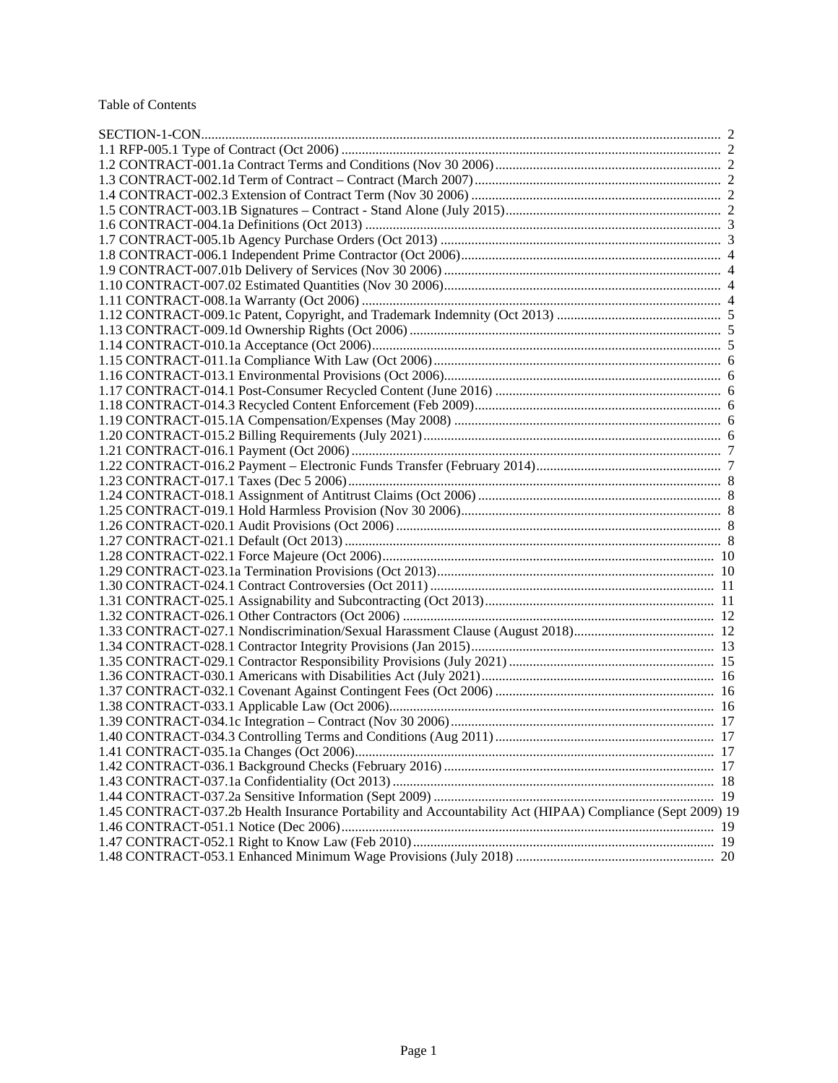### Table of Contents

| 1.40 CONTRACT-034.3 Controlling Terms and Conditions (Aug 2011)                                            | 17 |
|------------------------------------------------------------------------------------------------------------|----|
|                                                                                                            |    |
|                                                                                                            |    |
|                                                                                                            |    |
|                                                                                                            |    |
| 1.45 CONTRACT-037.2b Health Insurance Portability and Accountability Act (HIPAA) Compliance (Sept 2009) 19 |    |
|                                                                                                            |    |
|                                                                                                            |    |
|                                                                                                            |    |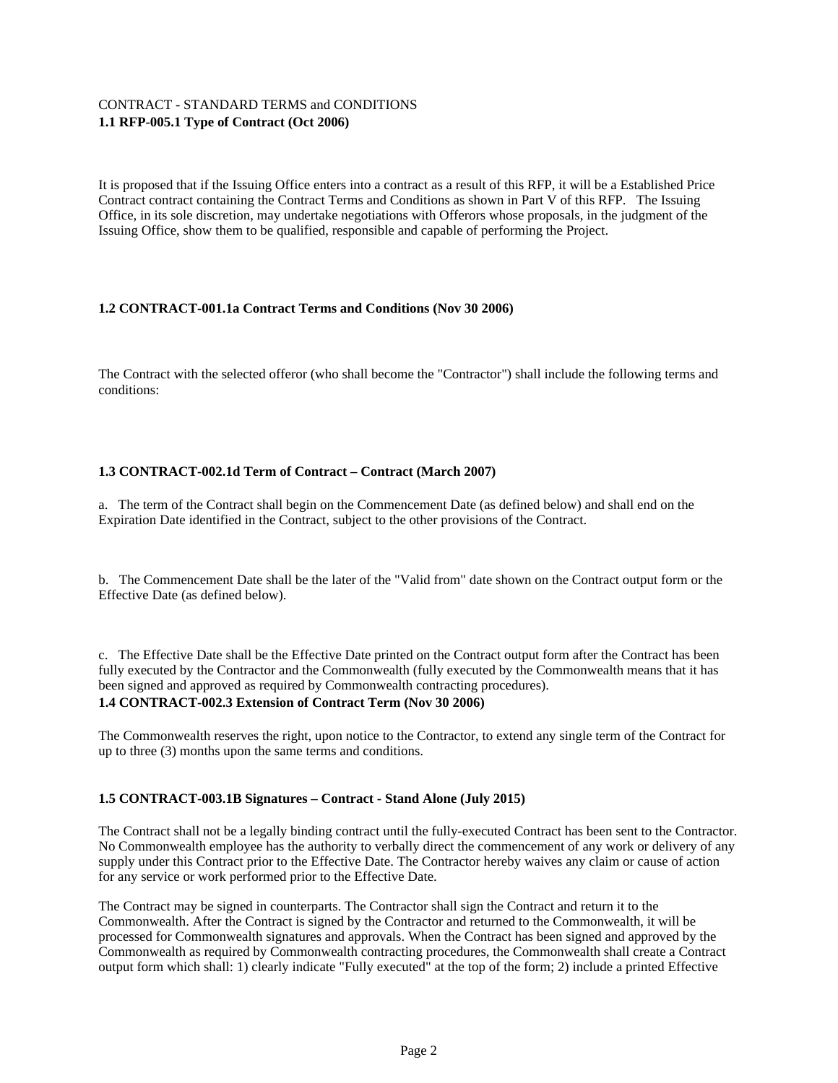# CONTRACT - STANDARD TERMS and CONDITIONS **1.1 RFP-005.1 Type of Contract (Oct 2006)**

It is proposed that if the Issuing Office enters into a contract as a result of this RFP, it will be a Established Price Contract contract containing the Contract Terms and Conditions as shown in Part V of this RFP. The Issuing Office, in its sole discretion, may undertake negotiations with Offerors whose proposals, in the judgment of the Issuing Office, show them to be qualified, responsible and capable of performing the Project.

# **1.2 CONTRACT-001.1a Contract Terms and Conditions (Nov 30 2006)**

The Contract with the selected offeror (who shall become the "Contractor") shall include the following terms and conditions:

# **1.3 CONTRACT-002.1d Term of Contract – Contract (March 2007)**

a. The term of the Contract shall begin on the Commencement Date (as defined below) and shall end on the Expiration Date identified in the Contract, subject to the other provisions of the Contract.

b. The Commencement Date shall be the later of the "Valid from" date shown on the Contract output form or the Effective Date (as defined below).

c. The Effective Date shall be the Effective Date printed on the Contract output form after the Contract has been fully executed by the Contractor and the Commonwealth (fully executed by the Commonwealth means that it has been signed and approved as required by Commonwealth contracting procedures).

# **1.4 CONTRACT-002.3 Extension of Contract Term (Nov 30 2006)**

The Commonwealth reserves the right, upon notice to the Contractor, to extend any single term of the Contract for up to three (3) months upon the same terms and conditions.

# **1.5 CONTRACT-003.1B Signatures – Contract - Stand Alone (July 2015)**

The Contract shall not be a legally binding contract until the fully-executed Contract has been sent to the Contractor. No Commonwealth employee has the authority to verbally direct the commencement of any work or delivery of any supply under this Contract prior to the Effective Date. The Contractor hereby waives any claim or cause of action for any service or work performed prior to the Effective Date.

The Contract may be signed in counterparts. The Contractor shall sign the Contract and return it to the Commonwealth. After the Contract is signed by the Contractor and returned to the Commonwealth, it will be processed for Commonwealth signatures and approvals. When the Contract has been signed and approved by the Commonwealth as required by Commonwealth contracting procedures, the Commonwealth shall create a Contract output form which shall: 1) clearly indicate "Fully executed" at the top of the form; 2) include a printed Effective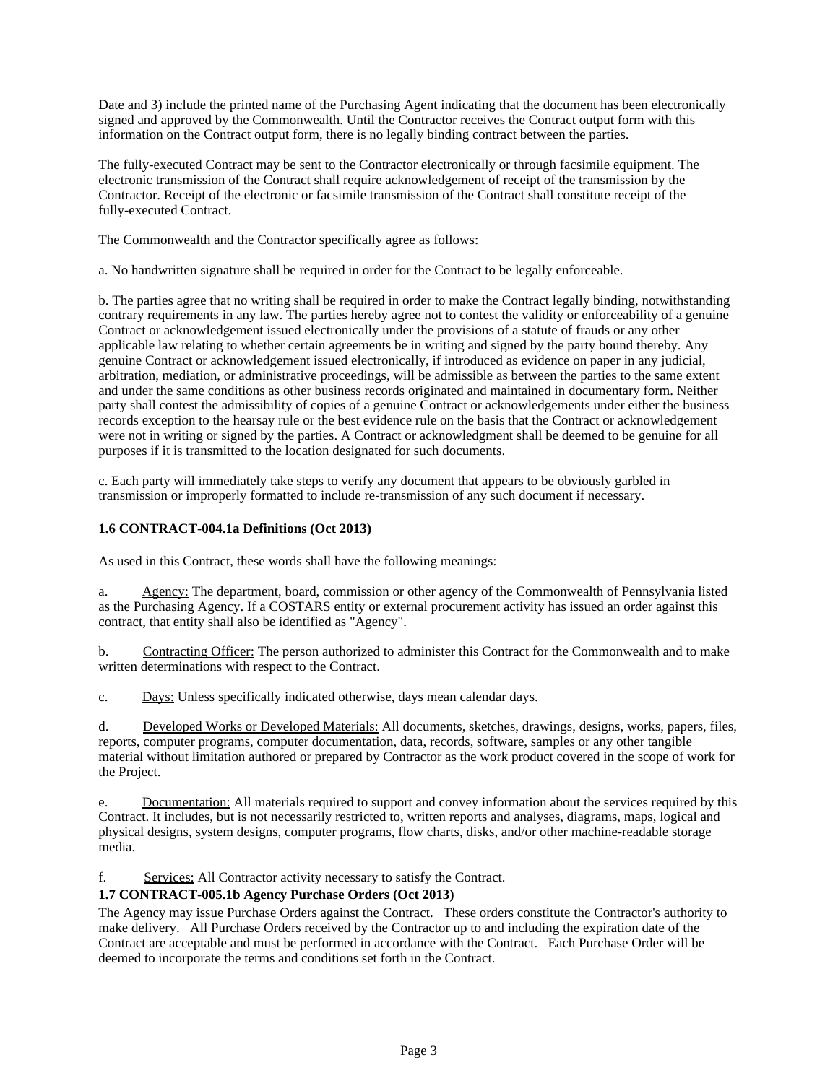Date and 3) include the printed name of the Purchasing Agent indicating that the document has been electronically signed and approved by the Commonwealth. Until the Contractor receives the Contract output form with this information on the Contract output form, there is no legally binding contract between the parties.

The fully-executed Contract may be sent to the Contractor electronically or through facsimile equipment. The electronic transmission of the Contract shall require acknowledgement of receipt of the transmission by the Contractor. Receipt of the electronic or facsimile transmission of the Contract shall constitute receipt of the fully-executed Contract.

The Commonwealth and the Contractor specifically agree as follows:

a. No handwritten signature shall be required in order for the Contract to be legally enforceable.

b. The parties agree that no writing shall be required in order to make the Contract legally binding, notwithstanding contrary requirements in any law. The parties hereby agree not to contest the validity or enforceability of a genuine Contract or acknowledgement issued electronically under the provisions of a statute of frauds or any other applicable law relating to whether certain agreements be in writing and signed by the party bound thereby. Any genuine Contract or acknowledgement issued electronically, if introduced as evidence on paper in any judicial, arbitration, mediation, or administrative proceedings, will be admissible as between the parties to the same extent and under the same conditions as other business records originated and maintained in documentary form. Neither party shall contest the admissibility of copies of a genuine Contract or acknowledgements under either the business records exception to the hearsay rule or the best evidence rule on the basis that the Contract or acknowledgement were not in writing or signed by the parties. A Contract or acknowledgment shall be deemed to be genuine for all purposes if it is transmitted to the location designated for such documents.

c. Each party will immediately take steps to verify any document that appears to be obviously garbled in transmission or improperly formatted to include re-transmission of any such document if necessary.

# **1.6 CONTRACT-004.1a Definitions (Oct 2013)**

As used in this Contract, these words shall have the following meanings:

a. Agency: The department, board, commission or other agency of the Commonwealth of Pennsylvania listed as the Purchasing Agency. If a COSTARS entity or external procurement activity has issued an order against this contract, that entity shall also be identified as "Agency".

b. Contracting Officer: The person authorized to administer this Contract for the Commonwealth and to make written determinations with respect to the Contract.

c. Days: Unless specifically indicated otherwise, days mean calendar days.

d. Developed Works or Developed Materials: All documents, sketches, drawings, designs, works, papers, files, reports, computer programs, computer documentation, data, records, software, samples or any other tangible material without limitation authored or prepared by Contractor as the work product covered in the scope of work for the Project.

e. Documentation: All materials required to support and convey information about the services required by this Contract. It includes, but is not necessarily restricted to, written reports and analyses, diagrams, maps, logical and physical designs, system designs, computer programs, flow charts, disks, and/or other machine-readable storage media.

f. Services: All Contractor activity necessary to satisfy the Contract.

# **1.7 CONTRACT-005.1b Agency Purchase Orders (Oct 2013)**

The Agency may issue Purchase Orders against the Contract. These orders constitute the Contractor's authority to make delivery. All Purchase Orders received by the Contractor up to and including the expiration date of the Contract are acceptable and must be performed in accordance with the Contract. Each Purchase Order will be deemed to incorporate the terms and conditions set forth in the Contract.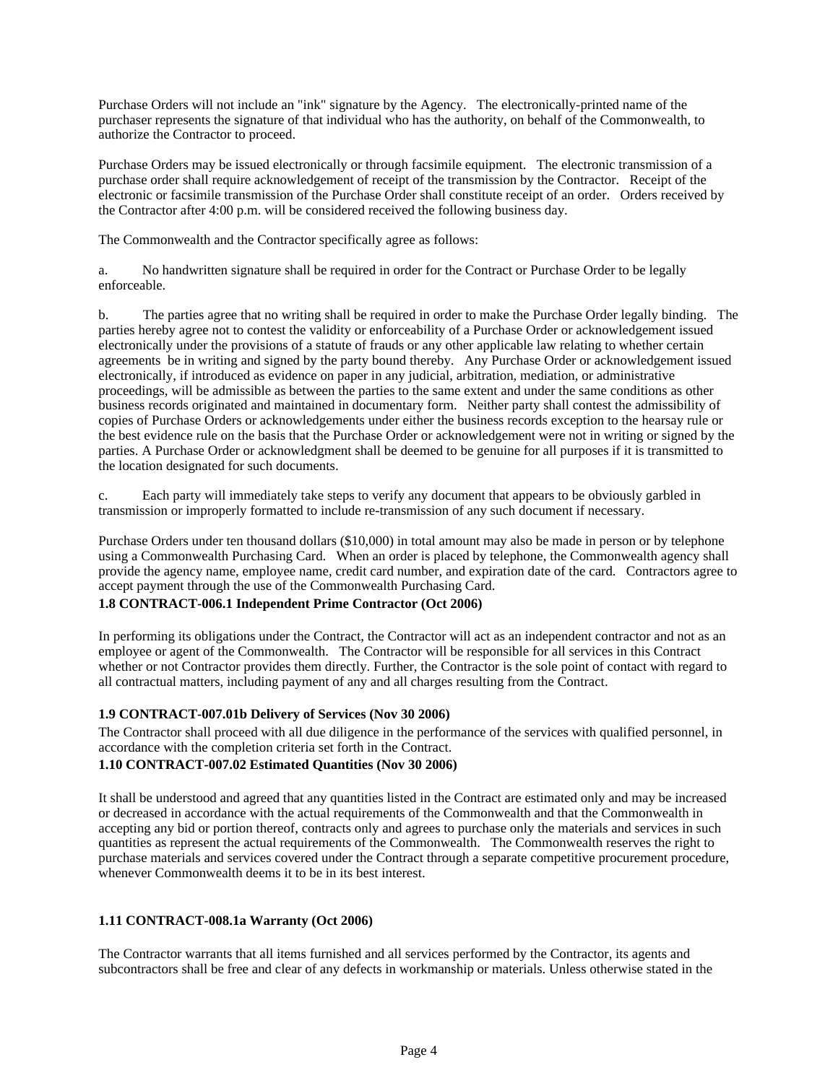Purchase Orders will not include an "ink" signature by the Agency. The electronically-printed name of the purchaser represents the signature of that individual who has the authority, on behalf of the Commonwealth, to authorize the Contractor to proceed.

Purchase Orders may be issued electronically or through facsimile equipment. The electronic transmission of a purchase order shall require acknowledgement of receipt of the transmission by the Contractor. Receipt of the electronic or facsimile transmission of the Purchase Order shall constitute receipt of an order. Orders received by the Contractor after 4:00 p.m. will be considered received the following business day.

The Commonwealth and the Contractor specifically agree as follows:

a. No handwritten signature shall be required in order for the Contract or Purchase Order to be legally enforceable.

b. The parties agree that no writing shall be required in order to make the Purchase Order legally binding. The parties hereby agree not to contest the validity or enforceability of a Purchase Order or acknowledgement issued electronically under the provisions of a statute of frauds or any other applicable law relating to whether certain agreements be in writing and signed by the party bound thereby. Any Purchase Order or acknowledgement issued electronically, if introduced as evidence on paper in any judicial, arbitration, mediation, or administrative proceedings, will be admissible as between the parties to the same extent and under the same conditions as other business records originated and maintained in documentary form. Neither party shall contest the admissibility of copies of Purchase Orders or acknowledgements under either the business records exception to the hearsay rule or the best evidence rule on the basis that the Purchase Order or acknowledgement were not in writing or signed by the parties. A Purchase Order or acknowledgment shall be deemed to be genuine for all purposes if it is transmitted to the location designated for such documents.

c. Each party will immediately take steps to verify any document that appears to be obviously garbled in transmission or improperly formatted to include re-transmission of any such document if necessary.

Purchase Orders under ten thousand dollars (\$10,000) in total amount may also be made in person or by telephone using a Commonwealth Purchasing Card. When an order is placed by telephone, the Commonwealth agency shall provide the agency name, employee name, credit card number, and expiration date of the card. Contractors agree to accept payment through the use of the Commonwealth Purchasing Card.

# **1.8 CONTRACT-006.1 Independent Prime Contractor (Oct 2006)**

In performing its obligations under the Contract, the Contractor will act as an independent contractor and not as an employee or agent of the Commonwealth. The Contractor will be responsible for all services in this Contract whether or not Contractor provides them directly. Further, the Contractor is the sole point of contact with regard to all contractual matters, including payment of any and all charges resulting from the Contract.

# **1.9 CONTRACT-007.01b Delivery of Services (Nov 30 2006)**

The Contractor shall proceed with all due diligence in the performance of the services with qualified personnel, in accordance with the completion criteria set forth in the Contract.

# **1.10 CONTRACT-007.02 Estimated Quantities (Nov 30 2006)**

It shall be understood and agreed that any quantities listed in the Contract are estimated only and may be increased or decreased in accordance with the actual requirements of the Commonwealth and that the Commonwealth in accepting any bid or portion thereof, contracts only and agrees to purchase only the materials and services in such quantities as represent the actual requirements of the Commonwealth. The Commonwealth reserves the right to purchase materials and services covered under the Contract through a separate competitive procurement procedure, whenever Commonwealth deems it to be in its best interest.

# **1.11 CONTRACT-008.1a Warranty (Oct 2006)**

The Contractor warrants that all items furnished and all services performed by the Contractor, its agents and subcontractors shall be free and clear of any defects in workmanship or materials. Unless otherwise stated in the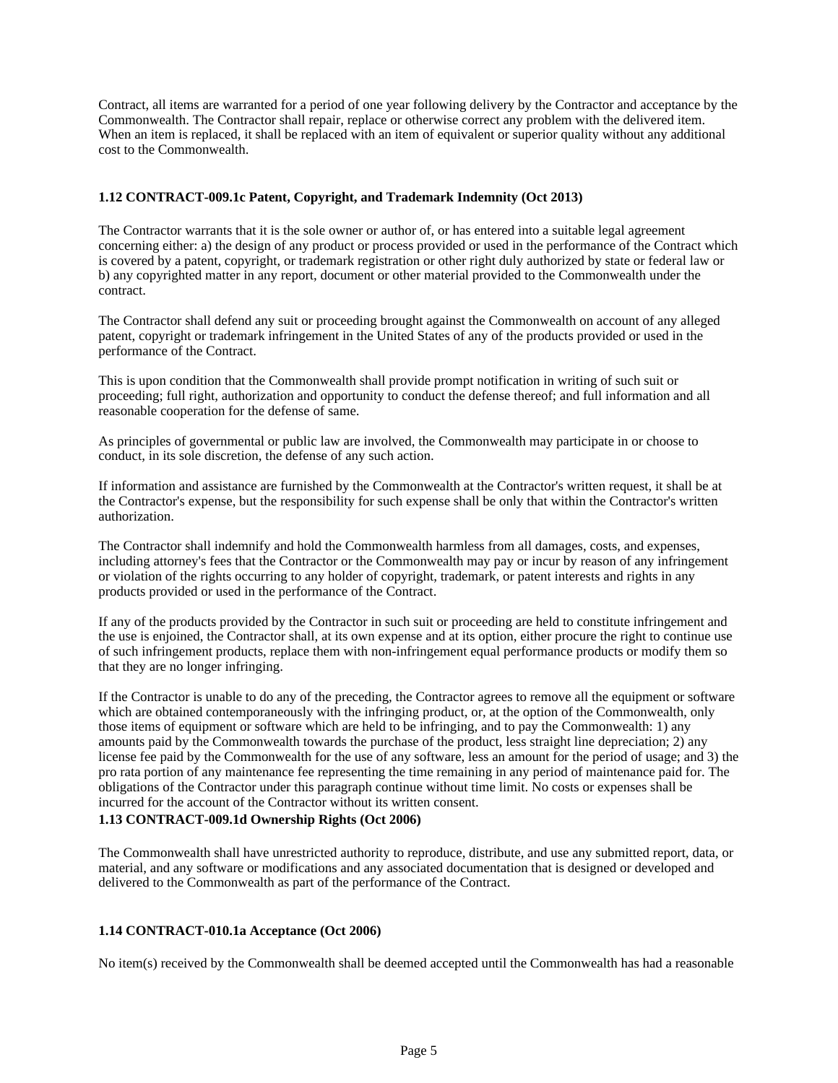Contract, all items are warranted for a period of one year following delivery by the Contractor and acceptance by the Commonwealth. The Contractor shall repair, replace or otherwise correct any problem with the delivered item. When an item is replaced, it shall be replaced with an item of equivalent or superior quality without any additional cost to the Commonwealth.

### **1.12 CONTRACT-009.1c Patent, Copyright, and Trademark Indemnity (Oct 2013)**

The Contractor warrants that it is the sole owner or author of, or has entered into a suitable legal agreement concerning either: a) the design of any product or process provided or used in the performance of the Contract which is covered by a patent, copyright, or trademark registration or other right duly authorized by state or federal law or b) any copyrighted matter in any report, document or other material provided to the Commonwealth under the contract.

The Contractor shall defend any suit or proceeding brought against the Commonwealth on account of any alleged patent, copyright or trademark infringement in the United States of any of the products provided or used in the performance of the Contract.

This is upon condition that the Commonwealth shall provide prompt notification in writing of such suit or proceeding; full right, authorization and opportunity to conduct the defense thereof; and full information and all reasonable cooperation for the defense of same.

As principles of governmental or public law are involved, the Commonwealth may participate in or choose to conduct, in its sole discretion, the defense of any such action.

If information and assistance are furnished by the Commonwealth at the Contractor's written request, it shall be at the Contractor's expense, but the responsibility for such expense shall be only that within the Contractor's written authorization.

The Contractor shall indemnify and hold the Commonwealth harmless from all damages, costs, and expenses, including attorney's fees that the Contractor or the Commonwealth may pay or incur by reason of any infringement or violation of the rights occurring to any holder of copyright, trademark, or patent interests and rights in any products provided or used in the performance of the Contract.

If any of the products provided by the Contractor in such suit or proceeding are held to constitute infringement and the use is enjoined, the Contractor shall, at its own expense and at its option, either procure the right to continue use of such infringement products, replace them with non-infringement equal performance products or modify them so that they are no longer infringing.

If the Contractor is unable to do any of the preceding, the Contractor agrees to remove all the equipment or software which are obtained contemporaneously with the infringing product, or, at the option of the Commonwealth, only those items of equipment or software which are held to be infringing, and to pay the Commonwealth: 1) any amounts paid by the Commonwealth towards the purchase of the product, less straight line depreciation; 2) any license fee paid by the Commonwealth for the use of any software, less an amount for the period of usage; and 3) the pro rata portion of any maintenance fee representing the time remaining in any period of maintenance paid for. The obligations of the Contractor under this paragraph continue without time limit. No costs or expenses shall be incurred for the account of the Contractor without its written consent.

### **1.13 CONTRACT-009.1d Ownership Rights (Oct 2006)**

The Commonwealth shall have unrestricted authority to reproduce, distribute, and use any submitted report, data, or material, and any software or modifications and any associated documentation that is designed or developed and delivered to the Commonwealth as part of the performance of the Contract.

# **1.14 CONTRACT-010.1a Acceptance (Oct 2006)**

No item(s) received by the Commonwealth shall be deemed accepted until the Commonwealth has had a reasonable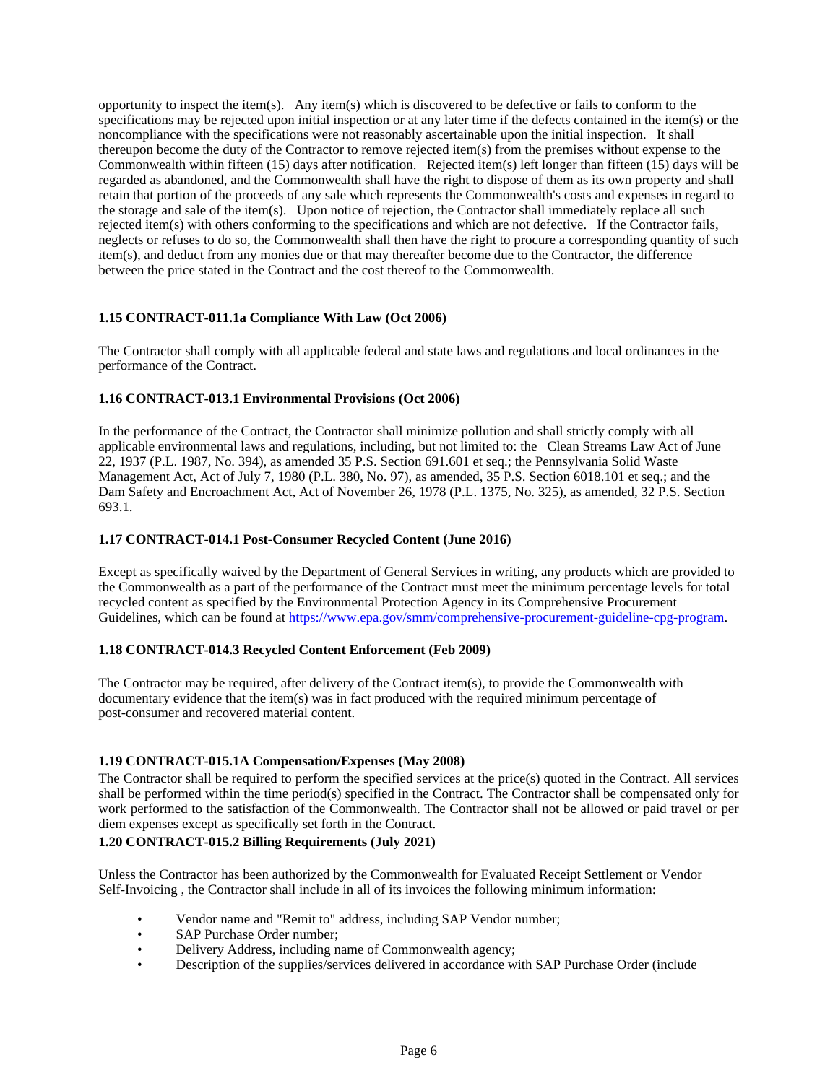opportunity to inspect the item(s). Any item(s) which is discovered to be defective or fails to conform to the specifications may be rejected upon initial inspection or at any later time if the defects contained in the item(s) or the noncompliance with the specifications were not reasonably ascertainable upon the initial inspection. It shall thereupon become the duty of the Contractor to remove rejected item(s) from the premises without expense to the Commonwealth within fifteen (15) days after notification. Rejected item(s) left longer than fifteen (15) days will be regarded as abandoned, and the Commonwealth shall have the right to dispose of them as its own property and shall retain that portion of the proceeds of any sale which represents the Commonwealth's costs and expenses in regard to the storage and sale of the item(s). Upon notice of rejection, the Contractor shall immediately replace all such rejected item(s) with others conforming to the specifications and which are not defective. If the Contractor fails, neglects or refuses to do so, the Commonwealth shall then have the right to procure a corresponding quantity of such item(s), and deduct from any monies due or that may thereafter become due to the Contractor, the difference between the price stated in the Contract and the cost thereof to the Commonwealth.

# **1.15 CONTRACT-011.1a Compliance With Law (Oct 2006)**

The Contractor shall comply with all applicable federal and state laws and regulations and local ordinances in the performance of the Contract.

# **1.16 CONTRACT-013.1 Environmental Provisions (Oct 2006)**

In the performance of the Contract, the Contractor shall minimize pollution and shall strictly comply with all applicable environmental laws and regulations, including, but not limited to: the Clean Streams Law Act of June 22, 1937 (P.L. 1987, No. 394), as amended 35 P.S. Section 691.601 et seq.; the Pennsylvania Solid Waste Management Act, Act of July 7, 1980 (P.L. 380, No. 97), as amended, 35 P.S. Section 6018.101 et seq.; and the Dam Safety and Encroachment Act, Act of November 26, 1978 (P.L. 1375, No. 325), as amended, 32 P.S. Section 693.1.

# **1.17 CONTRACT-014.1 Post-Consumer Recycled Content (June 2016)**

Except as specifically waived by the Department of General Services in writing, any products which are provided to the Commonwealth as a part of the performance of the Contract must meet the minimum percentage levels for total recycled content as specified by the Environmental Protection Agency in its Comprehensive Procurement Guidelines, which can be found at https://www.epa.gov/smm/comprehensive-procurement-guideline-cpg-program.

# **1.18 CONTRACT-014.3 Recycled Content Enforcement (Feb 2009)**

The Contractor may be required, after delivery of the Contract item(s), to provide the Commonwealth with documentary evidence that the item(s) was in fact produced with the required minimum percentage of post-consumer and recovered material content.

# **1.19 CONTRACT-015.1A Compensation/Expenses (May 2008)**

The Contractor shall be required to perform the specified services at the price(s) quoted in the Contract. All services shall be performed within the time period(s) specified in the Contract. The Contractor shall be compensated only for work performed to the satisfaction of the Commonwealth. The Contractor shall not be allowed or paid travel or per diem expenses except as specifically set forth in the Contract.

# **1.20 CONTRACT-015.2 Billing Requirements (July 2021)**

Unless the Contractor has been authorized by the Commonwealth for Evaluated Receipt Settlement or Vendor Self-Invoicing , the Contractor shall include in all of its invoices the following minimum information:

- Vendor name and "Remit to" address, including SAP Vendor number;
- SAP Purchase Order number:
- Delivery Address, including name of Commonwealth agency;
- Description of the supplies/services delivered in accordance with SAP Purchase Order (include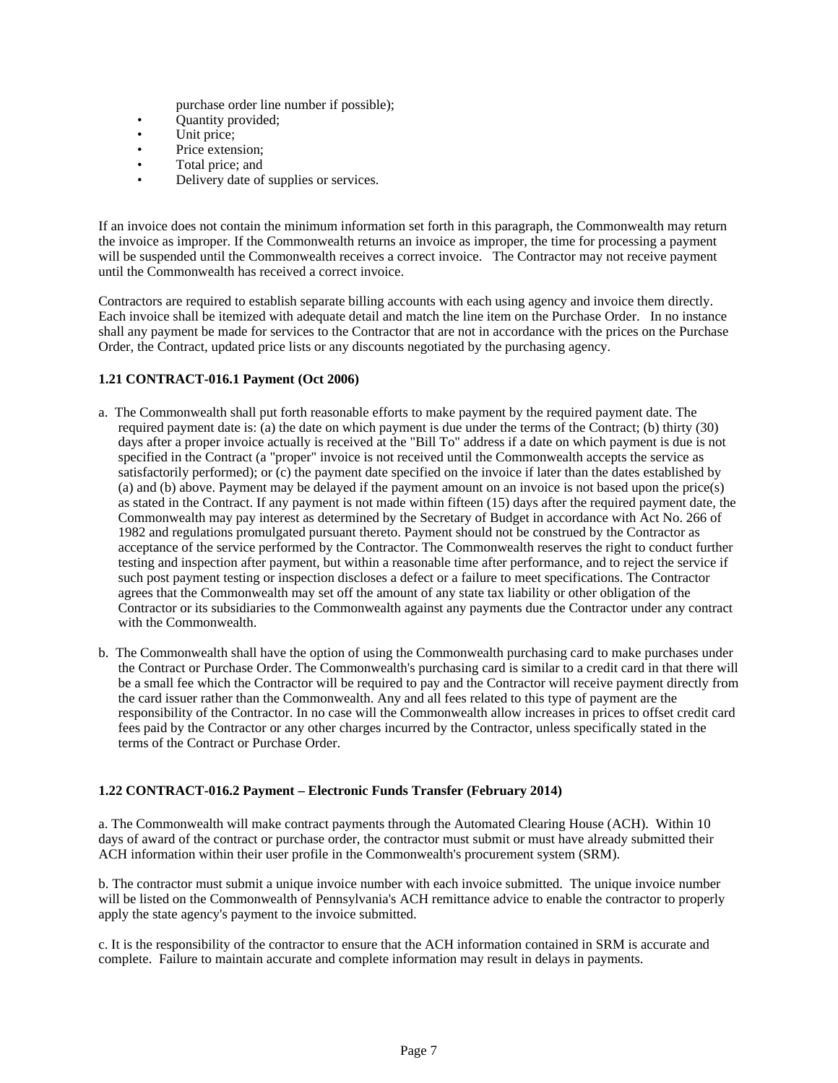- purchase order line number if possible);
- Quantity provided;
- Unit price;
- Price extension;
- Total price; and
- Delivery date of supplies or services.

If an invoice does not contain the minimum information set forth in this paragraph, the Commonwealth may return the invoice as improper. If the Commonwealth returns an invoice as improper, the time for processing a payment will be suspended until the Commonwealth receives a correct invoice. The Contractor may not receive payment until the Commonwealth has received a correct invoice.

Contractors are required to establish separate billing accounts with each using agency and invoice them directly. Each invoice shall be itemized with adequate detail and match the line item on the Purchase Order. In no instance shall any payment be made for services to the Contractor that are not in accordance with the prices on the Purchase Order, the Contract, updated price lists or any discounts negotiated by the purchasing agency.

# **1.21 CONTRACT-016.1 Payment (Oct 2006)**

- a. The Commonwealth shall put forth reasonable efforts to make payment by the required payment date. The required payment date is: (a) the date on which payment is due under the terms of the Contract; (b) thirty (30) days after a proper invoice actually is received at the "Bill To" address if a date on which payment is due is not specified in the Contract (a "proper" invoice is not received until the Commonwealth accepts the service as satisfactorily performed); or (c) the payment date specified on the invoice if later than the dates established by (a) and (b) above. Payment may be delayed if the payment amount on an invoice is not based upon the price(s) as stated in the Contract. If any payment is not made within fifteen (15) days after the required payment date, the Commonwealth may pay interest as determined by the Secretary of Budget in accordance with Act No. 266 of 1982 and regulations promulgated pursuant thereto. Payment should not be construed by the Contractor as acceptance of the service performed by the Contractor. The Commonwealth reserves the right to conduct further testing and inspection after payment, but within a reasonable time after performance, and to reject the service if such post payment testing or inspection discloses a defect or a failure to meet specifications. The Contractor agrees that the Commonwealth may set off the amount of any state tax liability or other obligation of the Contractor or its subsidiaries to the Commonwealth against any payments due the Contractor under any contract with the Commonwealth.
- b. The Commonwealth shall have the option of using the Commonwealth purchasing card to make purchases under the Contract or Purchase Order. The Commonwealth's purchasing card is similar to a credit card in that there will be a small fee which the Contractor will be required to pay and the Contractor will receive payment directly from the card issuer rather than the Commonwealth. Any and all fees related to this type of payment are the responsibility of the Contractor. In no case will the Commonwealth allow increases in prices to offset credit card fees paid by the Contractor or any other charges incurred by the Contractor, unless specifically stated in the terms of the Contract or Purchase Order.

# **1.22 CONTRACT-016.2 Payment – Electronic Funds Transfer (February 2014)**

a. The Commonwealth will make contract payments through the Automated Clearing House (ACH). Within 10 days of award of the contract or purchase order, the contractor must submit or must have already submitted their ACH information within their user profile in the Commonwealth's procurement system (SRM).

b. The contractor must submit a unique invoice number with each invoice submitted. The unique invoice number will be listed on the Commonwealth of Pennsylvania's ACH remittance advice to enable the contractor to properly apply the state agency's payment to the invoice submitted.

c. It is the responsibility of the contractor to ensure that the ACH information contained in SRM is accurate and complete. Failure to maintain accurate and complete information may result in delays in payments.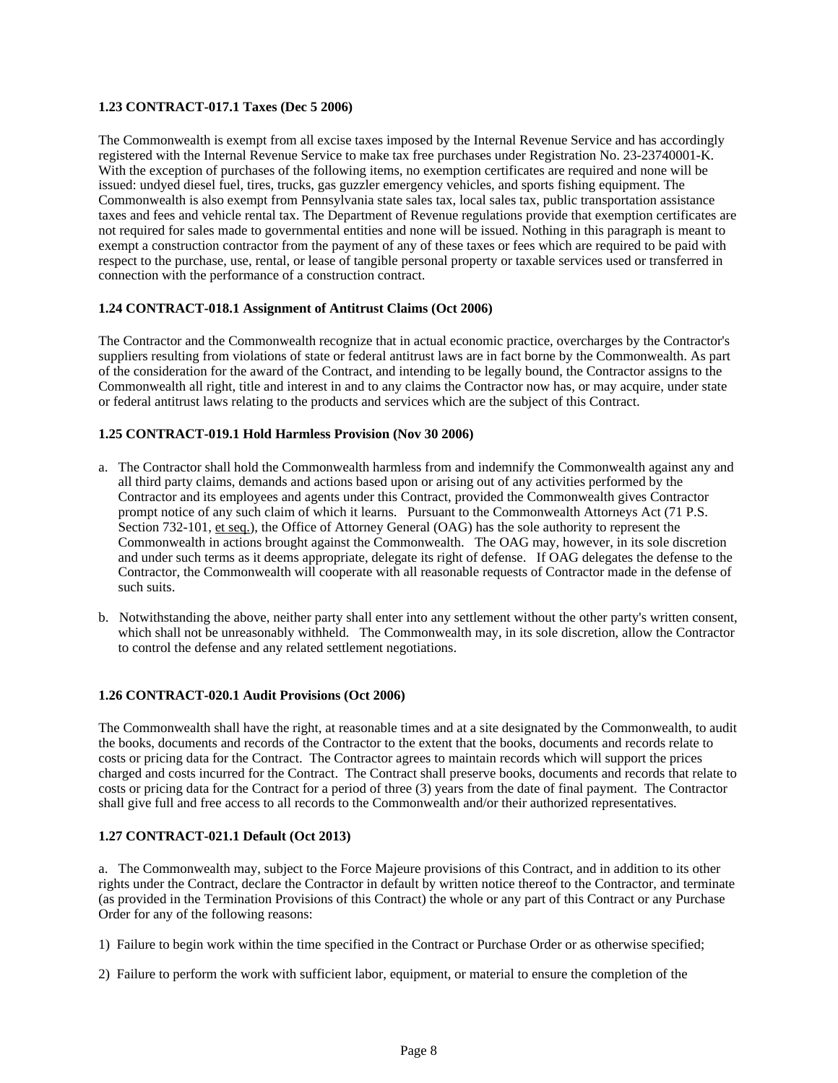# **1.23 CONTRACT-017.1 Taxes (Dec 5 2006)**

The Commonwealth is exempt from all excise taxes imposed by the Internal Revenue Service and has accordingly registered with the Internal Revenue Service to make tax free purchases under Registration No. 23-23740001-K. With the exception of purchases of the following items, no exemption certificates are required and none will be issued: undyed diesel fuel, tires, trucks, gas guzzler emergency vehicles, and sports fishing equipment. The Commonwealth is also exempt from Pennsylvania state sales tax, local sales tax, public transportation assistance taxes and fees and vehicle rental tax. The Department of Revenue regulations provide that exemption certificates are not required for sales made to governmental entities and none will be issued. Nothing in this paragraph is meant to exempt a construction contractor from the payment of any of these taxes or fees which are required to be paid with respect to the purchase, use, rental, or lease of tangible personal property or taxable services used or transferred in connection with the performance of a construction contract.

# **1.24 CONTRACT-018.1 Assignment of Antitrust Claims (Oct 2006)**

The Contractor and the Commonwealth recognize that in actual economic practice, overcharges by the Contractor's suppliers resulting from violations of state or federal antitrust laws are in fact borne by the Commonwealth. As part of the consideration for the award of the Contract, and intending to be legally bound, the Contractor assigns to the Commonwealth all right, title and interest in and to any claims the Contractor now has, or may acquire, under state or federal antitrust laws relating to the products and services which are the subject of this Contract.

# **1.25 CONTRACT-019.1 Hold Harmless Provision (Nov 30 2006)**

- a. The Contractor shall hold the Commonwealth harmless from and indemnify the Commonwealth against any and all third party claims, demands and actions based upon or arising out of any activities performed by the Contractor and its employees and agents under this Contract, provided the Commonwealth gives Contractor prompt notice of any such claim of which it learns. Pursuant to the Commonwealth Attorneys Act (71 P.S. Section 732-101, et seq.), the Office of Attorney General (OAG) has the sole authority to represent the Commonwealth in actions brought against the Commonwealth. The OAG may, however, in its sole discretion and under such terms as it deems appropriate, delegate its right of defense. If OAG delegates the defense to the Contractor, the Commonwealth will cooperate with all reasonable requests of Contractor made in the defense of such suits.
- b. Notwithstanding the above, neither party shall enter into any settlement without the other party's written consent, which shall not be unreasonably withheld. The Commonwealth may, in its sole discretion, allow the Contractor to control the defense and any related settlement negotiations.

# **1.26 CONTRACT-020.1 Audit Provisions (Oct 2006)**

The Commonwealth shall have the right, at reasonable times and at a site designated by the Commonwealth, to audit the books, documents and records of the Contractor to the extent that the books, documents and records relate to costs or pricing data for the Contract. The Contractor agrees to maintain records which will support the prices charged and costs incurred for the Contract. The Contract shall preserve books, documents and records that relate to costs or pricing data for the Contract for a period of three (3) years from the date of final payment. The Contractor shall give full and free access to all records to the Commonwealth and/or their authorized representatives.

#### **1.27 CONTRACT-021.1 Default (Oct 2013)**

a. The Commonwealth may, subject to the Force Majeure provisions of this Contract, and in addition to its other rights under the Contract, declare the Contractor in default by written notice thereof to the Contractor, and terminate (as provided in the Termination Provisions of this Contract) the whole or any part of this Contract or any Purchase Order for any of the following reasons:

- 1) Failure to begin work within the time specified in the Contract or Purchase Order or as otherwise specified;
- 2) Failure to perform the work with sufficient labor, equipment, or material to ensure the completion of the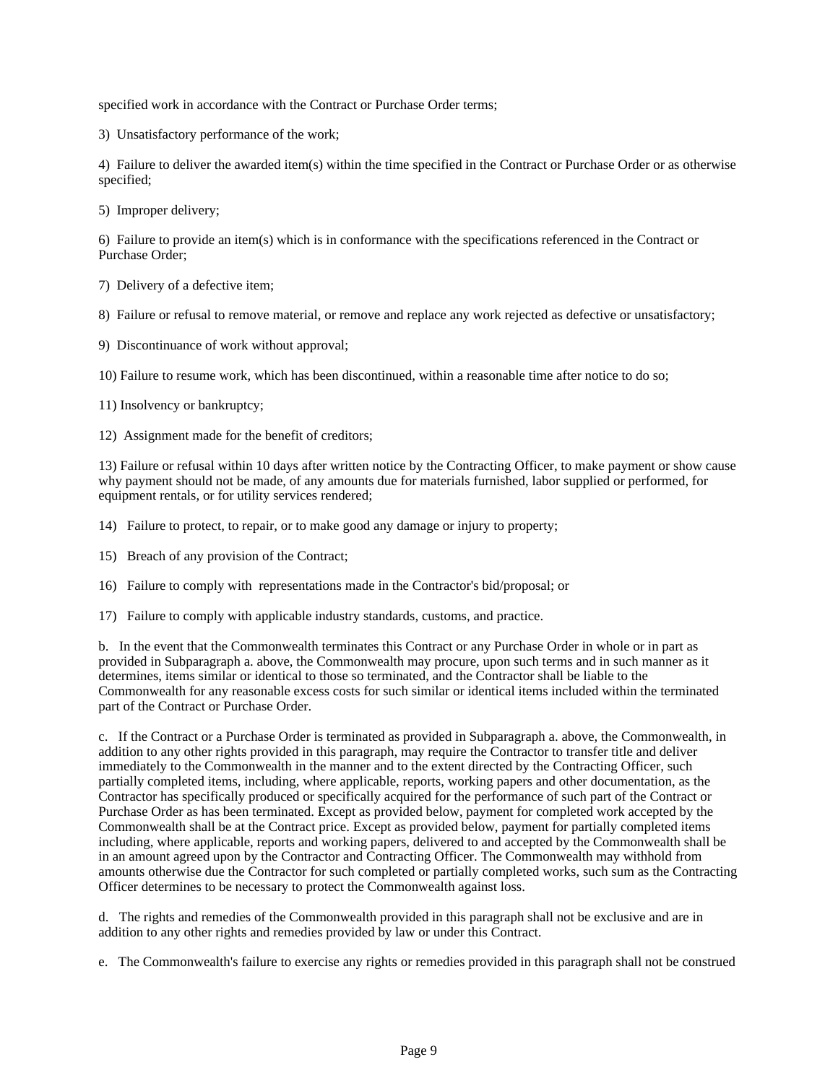specified work in accordance with the Contract or Purchase Order terms;

3) Unsatisfactory performance of the work;

4) Failure to deliver the awarded item(s) within the time specified in the Contract or Purchase Order or as otherwise specified;

5) Improper delivery;

6) Failure to provide an item(s) which is in conformance with the specifications referenced in the Contract or Purchase Order;

7) Delivery of a defective item;

8) Failure or refusal to remove material, or remove and replace any work rejected as defective or unsatisfactory;

9) Discontinuance of work without approval;

10) Failure to resume work, which has been discontinued, within a reasonable time after notice to do so;

11) Insolvency or bankruptcy;

12) Assignment made for the benefit of creditors;

13) Failure or refusal within 10 days after written notice by the Contracting Officer, to make payment or show cause why payment should not be made, of any amounts due for materials furnished, labor supplied or performed, for equipment rentals, or for utility services rendered;

14) Failure to protect, to repair, or to make good any damage or injury to property;

15) Breach of any provision of the Contract;

16) Failure to comply with representations made in the Contractor's bid/proposal; or

17) Failure to comply with applicable industry standards, customs, and practice.

b. In the event that the Commonwealth terminates this Contract or any Purchase Order in whole or in part as provided in Subparagraph a. above, the Commonwealth may procure, upon such terms and in such manner as it determines, items similar or identical to those so terminated, and the Contractor shall be liable to the Commonwealth for any reasonable excess costs for such similar or identical items included within the terminated part of the Contract or Purchase Order.

c. If the Contract or a Purchase Order is terminated as provided in Subparagraph a. above, the Commonwealth, in addition to any other rights provided in this paragraph, may require the Contractor to transfer title and deliver immediately to the Commonwealth in the manner and to the extent directed by the Contracting Officer, such partially completed items, including, where applicable, reports, working papers and other documentation, as the Contractor has specifically produced or specifically acquired for the performance of such part of the Contract or Purchase Order as has been terminated. Except as provided below, payment for completed work accepted by the Commonwealth shall be at the Contract price. Except as provided below, payment for partially completed items including, where applicable, reports and working papers, delivered to and accepted by the Commonwealth shall be in an amount agreed upon by the Contractor and Contracting Officer. The Commonwealth may withhold from amounts otherwise due the Contractor for such completed or partially completed works, such sum as the Contracting Officer determines to be necessary to protect the Commonwealth against loss.

d. The rights and remedies of the Commonwealth provided in this paragraph shall not be exclusive and are in addition to any other rights and remedies provided by law or under this Contract.

e. The Commonwealth's failure to exercise any rights or remedies provided in this paragraph shall not be construed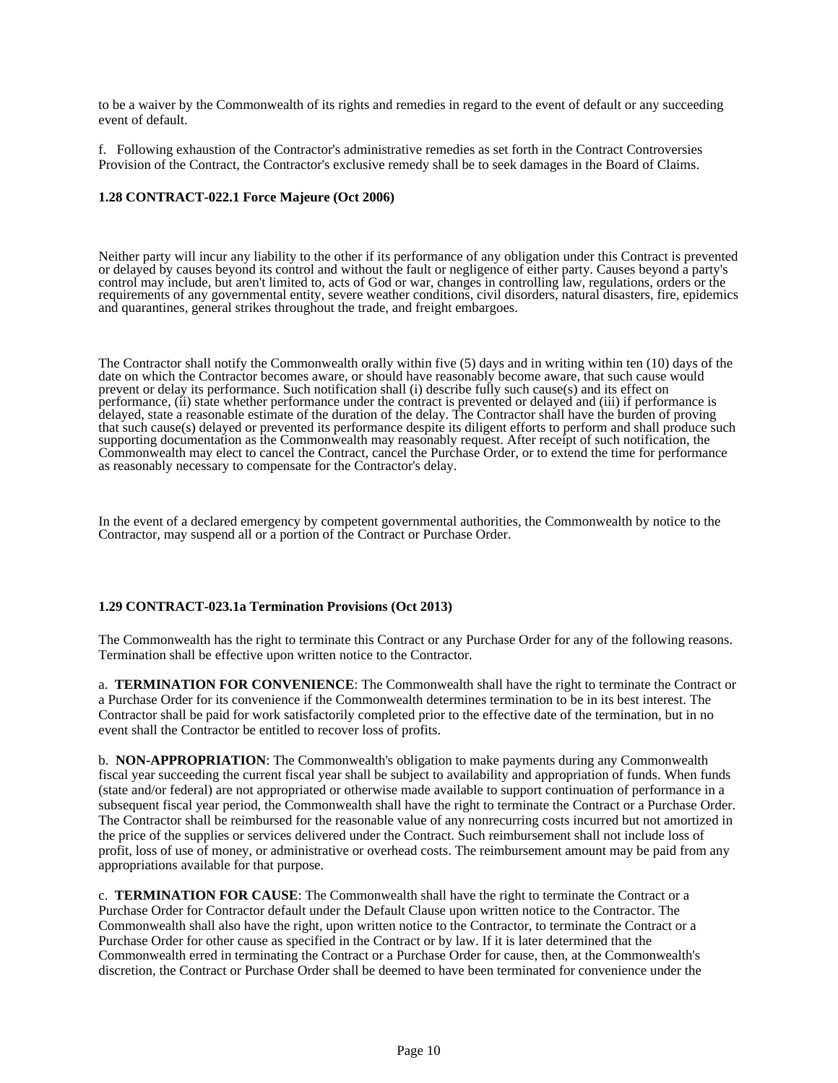to be a waiver by the Commonwealth of its rights and remedies in regard to the event of default or any succeeding event of default.

f. Following exhaustion of the Contractor's administrative remedies as set forth in the Contract Controversies Provision of the Contract, the Contractor's exclusive remedy shall be to seek damages in the Board of Claims.

### **1.28 CONTRACT-022.1 Force Majeure (Oct 2006)**

Neither party will incur any liability to the other if its performance of any obligation under this Contract is prevented or delayed by causes beyond its control and without the fault or negligence of either party. Causes beyond a party's control may include, but aren't limited to, acts of God or war, changes in controlling law, regulations, orders or the requirements of any governmental entity, severe weather conditions, civil disorders, natural disasters, fire, epidemics and quarantines, general strikes throughout the trade, and freight embargoes.

The Contractor shall notify the Commonwealth orally within five (5) days and in writing within ten (10) days of the date on which the Contractor becomes aware, or should have reasonably become aware, that such cause would prevent or delay its performance. Such notification shall (i) describe fully such cause(s) and its effect on performance, (ii) state whether performance under the contract is prevented or delayed and (iii) if performance is delayed, state a reasonable estimate of the duration of the delay. The Contractor shall have the burden of proving that such cause(s) delayed or prevented its performance despite its diligent efforts to perform and shall produce such supporting documentation as the Commonwealth may reasonably request. After receipt of such notification, the Commonwealth may elect to cancel the Contract, cancel the Purchase Order, or to extend the time for performance as reasonably necessary to compensate for the Contractor's delay.

In the event of a declared emergency by competent governmental authorities, the Commonwealth by notice to the Contractor, may suspend all or a portion of the Contract or Purchase Order.

#### **1.29 CONTRACT-023.1a Termination Provisions (Oct 2013)**

The Commonwealth has the right to terminate this Contract or any Purchase Order for any of the following reasons. Termination shall be effective upon written notice to the Contractor.

a. **TERMINATION FOR CONVENIENCE**: The Commonwealth shall have the right to terminate the Contract or a Purchase Order for its convenience if the Commonwealth determines termination to be in its best interest. The Contractor shall be paid for work satisfactorily completed prior to the effective date of the termination, but in no event shall the Contractor be entitled to recover loss of profits.

b. **NON-APPROPRIATION**: The Commonwealth's obligation to make payments during any Commonwealth fiscal year succeeding the current fiscal year shall be subject to availability and appropriation of funds. When funds (state and/or federal) are not appropriated or otherwise made available to support continuation of performance in a subsequent fiscal year period, the Commonwealth shall have the right to terminate the Contract or a Purchase Order. The Contractor shall be reimbursed for the reasonable value of any nonrecurring costs incurred but not amortized in the price of the supplies or services delivered under the Contract. Such reimbursement shall not include loss of profit, loss of use of money, or administrative or overhead costs. The reimbursement amount may be paid from any appropriations available for that purpose.

c. **TERMINATION FOR CAUSE**: The Commonwealth shall have the right to terminate the Contract or a Purchase Order for Contractor default under the Default Clause upon written notice to the Contractor. The Commonwealth shall also have the right, upon written notice to the Contractor, to terminate the Contract or a Purchase Order for other cause as specified in the Contract or by law. If it is later determined that the Commonwealth erred in terminating the Contract or a Purchase Order for cause, then, at the Commonwealth's discretion, the Contract or Purchase Order shall be deemed to have been terminated for convenience under the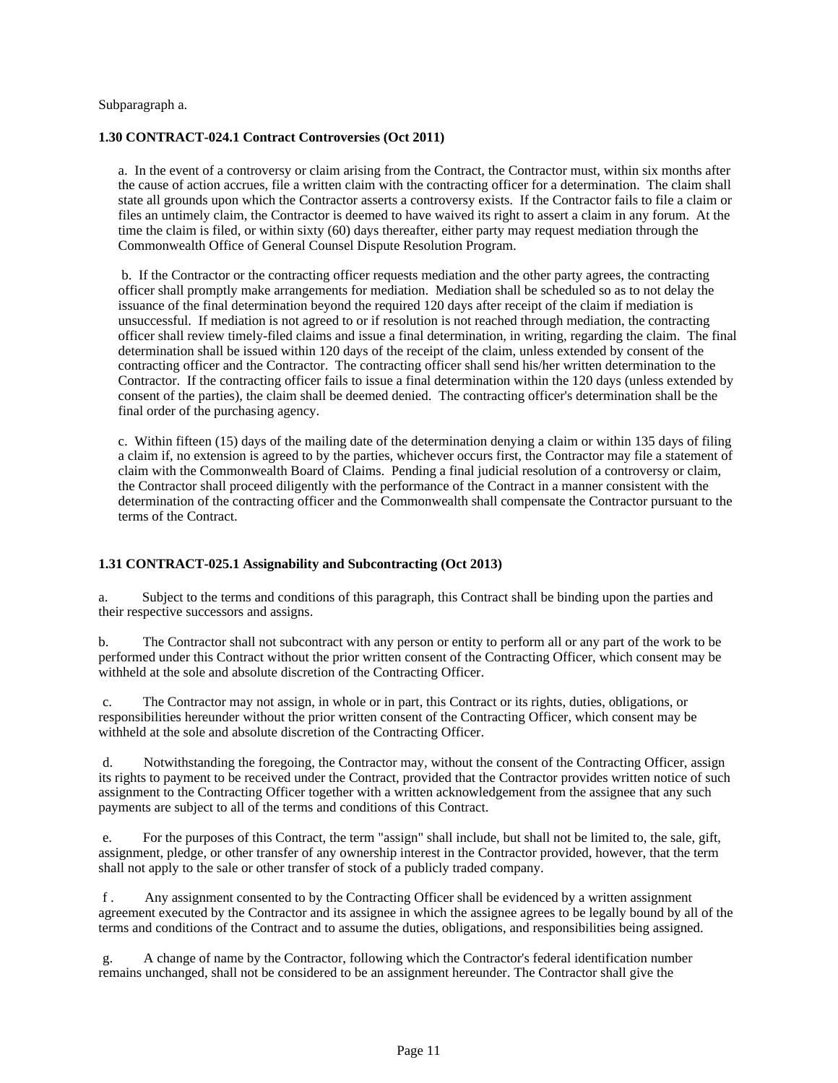#### Subparagraph a.

### **1.30 CONTRACT-024.1 Contract Controversies (Oct 2011)**

a. In the event of a controversy or claim arising from the Contract, the Contractor must, within six months after the cause of action accrues, file a written claim with the contracting officer for a determination. The claim shall state all grounds upon which the Contractor asserts a controversy exists. If the Contractor fails to file a claim or files an untimely claim, the Contractor is deemed to have waived its right to assert a claim in any forum. At the time the claim is filed, or within sixty (60) days thereafter, either party may request mediation through the Commonwealth Office of General Counsel Dispute Resolution Program.

b. If the Contractor or the contracting officer requests mediation and the other party agrees, the contracting officer shall promptly make arrangements for mediation. Mediation shall be scheduled so as to not delay the issuance of the final determination beyond the required 120 days after receipt of the claim if mediation is unsuccessful. If mediation is not agreed to or if resolution is not reached through mediation, the contracting officer shall review timely-filed claims and issue a final determination, in writing, regarding the claim. The final determination shall be issued within 120 days of the receipt of the claim, unless extended by consent of the contracting officer and the Contractor. The contracting officer shall send his/her written determination to the Contractor. If the contracting officer fails to issue a final determination within the 120 days (unless extended by consent of the parties), the claim shall be deemed denied. The contracting officer's determination shall be the final order of the purchasing agency.

c. Within fifteen (15) days of the mailing date of the determination denying a claim or within 135 days of filing a claim if, no extension is agreed to by the parties, whichever occurs first, the Contractor may file a statement of claim with the Commonwealth Board of Claims. Pending a final judicial resolution of a controversy or claim, the Contractor shall proceed diligently with the performance of the Contract in a manner consistent with the determination of the contracting officer and the Commonwealth shall compensate the Contractor pursuant to the terms of the Contract.

# **1.31 CONTRACT-025.1 Assignability and Subcontracting (Oct 2013)**

a. Subject to the terms and conditions of this paragraph, this Contract shall be binding upon the parties and their respective successors and assigns.

b. The Contractor shall not subcontract with any person or entity to perform all or any part of the work to be performed under this Contract without the prior written consent of the Contracting Officer, which consent may be withheld at the sole and absolute discretion of the Contracting Officer.

c. The Contractor may not assign, in whole or in part, this Contract or its rights, duties, obligations, or responsibilities hereunder without the prior written consent of the Contracting Officer, which consent may be withheld at the sole and absolute discretion of the Contracting Officer.

d. Notwithstanding the foregoing, the Contractor may, without the consent of the Contracting Officer, assign its rights to payment to be received under the Contract, provided that the Contractor provides written notice of such assignment to the Contracting Officer together with a written acknowledgement from the assignee that any such payments are subject to all of the terms and conditions of this Contract.

e. For the purposes of this Contract, the term "assign" shall include, but shall not be limited to, the sale, gift, assignment, pledge, or other transfer of any ownership interest in the Contractor provided, however, that the term shall not apply to the sale or other transfer of stock of a publicly traded company.

f . Any assignment consented to by the Contracting Officer shall be evidenced by a written assignment agreement executed by the Contractor and its assignee in which the assignee agrees to be legally bound by all of the terms and conditions of the Contract and to assume the duties, obligations, and responsibilities being assigned.

g. A change of name by the Contractor, following which the Contractor's federal identification number remains unchanged, shall not be considered to be an assignment hereunder. The Contractor shall give the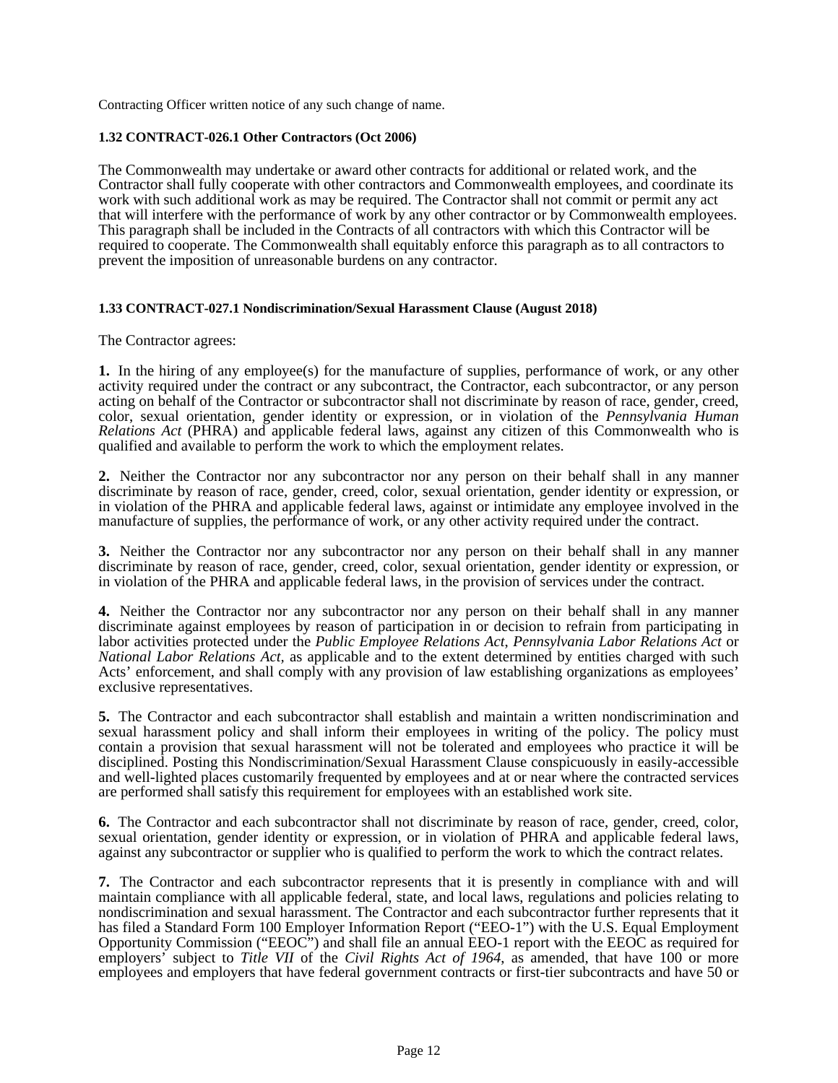Contracting Officer written notice of any such change of name.

### **1.32 CONTRACT-026.1 Other Contractors (Oct 2006)**

The Commonwealth may undertake or award other contracts for additional or related work, and the Contractor shall fully cooperate with other contractors and Commonwealth employees, and coordinate its work with such additional work as may be required. The Contractor shall not commit or permit any act that will interfere with the performance of work by any other contractor or by Commonwealth employees. This paragraph shall be included in the Contracts of all contractors with which this Contractor will be required to cooperate. The Commonwealth shall equitably enforce this paragraph as to all contractors to prevent the imposition of unreasonable burdens on any contractor.

### **1.33 CONTRACT-027.1 Nondiscrimination/Sexual Harassment Clause (August 2018)**

The Contractor agrees:

**1.** In the hiring of any employee(s) for the manufacture of supplies, performance of work, or any other activity required under the contract or any subcontract, the Contractor, each subcontractor, or any person acting on behalf of the Contractor or subcontractor shall not discriminate by reason of race, gender, creed, color, sexual orientation, gender identity or expression, or in violation of the *Pennsylvania Human Relations Act* (PHRA) and applicable federal laws, against any citizen of this Commonwealth who is qualified and available to perform the work to which the employment relates.

**2.** Neither the Contractor nor any subcontractor nor any person on their behalf shall in any manner discriminate by reason of race, gender, creed, color, sexual orientation, gender identity or expression, or in violation of the PHRA and applicable federal laws, against or intimidate any employee involved in the manufacture of supplies, the performance of work, or any other activity required under the contract.

**3.** Neither the Contractor nor any subcontractor nor any person on their behalf shall in any manner discriminate by reason of race, gender, creed, color, sexual orientation, gender identity or expression, or in violation of the PHRA and applicable federal laws, in the provision of services under the contract.

**4.** Neither the Contractor nor any subcontractor nor any person on their behalf shall in any manner discriminate against employees by reason of participation in or decision to refrain from participating in labor activities protected under the *Public Employee Relations Act*, *Pennsylvania Labor Relations Act* or *National Labor Relations Act,* as applicable and to the extent determined by entities charged with such Acts' enforcement, and shall comply with any provision of law establishing organizations as employees' exclusive representatives.

**5.** The Contractor and each subcontractor shall establish and maintain a written nondiscrimination and sexual harassment policy and shall inform their employees in writing of the policy. The policy must contain a provision that sexual harassment will not be tolerated and employees who practice it will be disciplined. Posting this Nondiscrimination/Sexual Harassment Clause conspicuously in easily-accessible and well-lighted places customarily frequented by employees and at or near where the contracted services are performed shall satisfy this requirement for employees with an established work site.

**6.** The Contractor and each subcontractor shall not discriminate by reason of race, gender, creed, color, sexual orientation, gender identity or expression, or in violation of PHRA and applicable federal laws, against any subcontractor or supplier who is qualified to perform the work to which the contract relates.

**7.** The Contractor and each subcontractor represents that it is presently in compliance with and will maintain compliance with all applicable federal, state, and local laws, regulations and policies relating to nondiscrimination and sexual harassment. The Contractor and each subcontractor further represents that it has filed a Standard Form 100 Employer Information Report ("EEO-1") with the U.S. Equal Employment Opportunity Commission ("EEOC") and shall file an annual EEO-1 report with the EEOC as required for employers<sup>'</sup> subject to *Title VII* of the *Civil Rights Act of 1964*, as amended, that have 100 or more employees and employers that have federal government contracts or first-tier subcontracts and have 50 or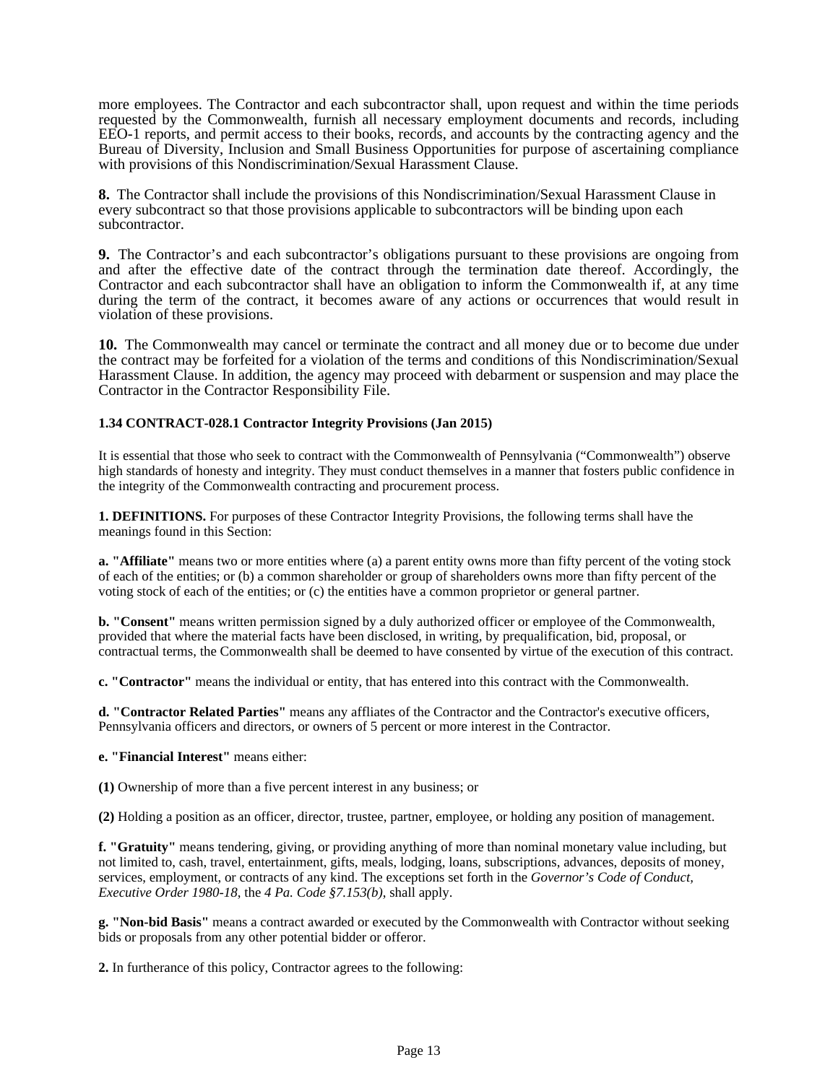more employees. The Contractor and each subcontractor shall, upon request and within the time periods requested by the Commonwealth, furnish all necessary employment documents and records, including EEO-1 reports, and permit access to their books, records, and accounts by the contracting agency and the Bureau of Diversity, Inclusion and Small Business Opportunities for purpose of ascertaining compliance with provisions of this Nondiscrimination/Sexual Harassment Clause.

**8.** The Contractor shall include the provisions of this Nondiscrimination/Sexual Harassment Clause in every subcontract so that those provisions applicable to subcontractors will be binding upon each subcontractor.

**9.** The Contractor's and each subcontractor's obligations pursuant to these provisions are ongoing from and after the effective date of the contract through the termination date thereof. Accordingly, the Contractor and each subcontractor shall have an obligation to inform the Commonwealth if, at any time during the term of the contract, it becomes aware of any actions or occurrences that would result in violation of these provisions.

**10.** The Commonwealth may cancel or terminate the contract and all money due or to become due under the contract may be forfeited for a violation of the terms and conditions of this Nondiscrimination/Sexual Harassment Clause. In addition, the agency may proceed with debarment or suspension and may place the Contractor in the Contractor Responsibility File.

# **1.34 CONTRACT-028.1 Contractor Integrity Provisions (Jan 2015)**

It is essential that those who seek to contract with the Commonwealth of Pennsylvania ("Commonwealth") observe high standards of honesty and integrity. They must conduct themselves in a manner that fosters public confidence in the integrity of the Commonwealth contracting and procurement process.

**1. DEFINITIONS.** For purposes of these Contractor Integrity Provisions, the following terms shall have the meanings found in this Section:

**a. "Affiliate"** means two or more entities where (a) a parent entity owns more than fifty percent of the voting stock of each of the entities; or (b) a common shareholder or group of shareholders owns more than fifty percent of the voting stock of each of the entities; or (c) the entities have a common proprietor or general partner.

**b. "Consent"** means written permission signed by a duly authorized officer or employee of the Commonwealth, provided that where the material facts have been disclosed, in writing, by prequalification, bid, proposal, or contractual terms, the Commonwealth shall be deemed to have consented by virtue of the execution of this contract.

**c. "Contractor"** means the individual or entity, that has entered into this contract with the Commonwealth.

**d. "Contractor Related Parties"** means any affliates of the Contractor and the Contractor's executive officers, Pennsylvania officers and directors, or owners of 5 percent or more interest in the Contractor.

# **e. "Financial Interest"** means either:

**(1)** Ownership of more than a five percent interest in any business; or

**(2)** Holding a position as an officer, director, trustee, partner, employee, or holding any position of management.

**f. "Gratuity"** means tendering, giving, or providing anything of more than nominal monetary value including, but not limited to, cash, travel, entertainment, gifts, meals, lodging, loans, subscriptions, advances, deposits of money, services, employment, or contracts of any kind. The exceptions set forth in the *Governor's Code of Conduct, Executive Order 1980-18*, the *4 Pa. Code §7.153(b)*, shall apply.

**g. "Non-bid Basis"** means a contract awarded or executed by the Commonwealth with Contractor without seeking bids or proposals from any other potential bidder or offeror.

**2.** In furtherance of this policy, Contractor agrees to the following: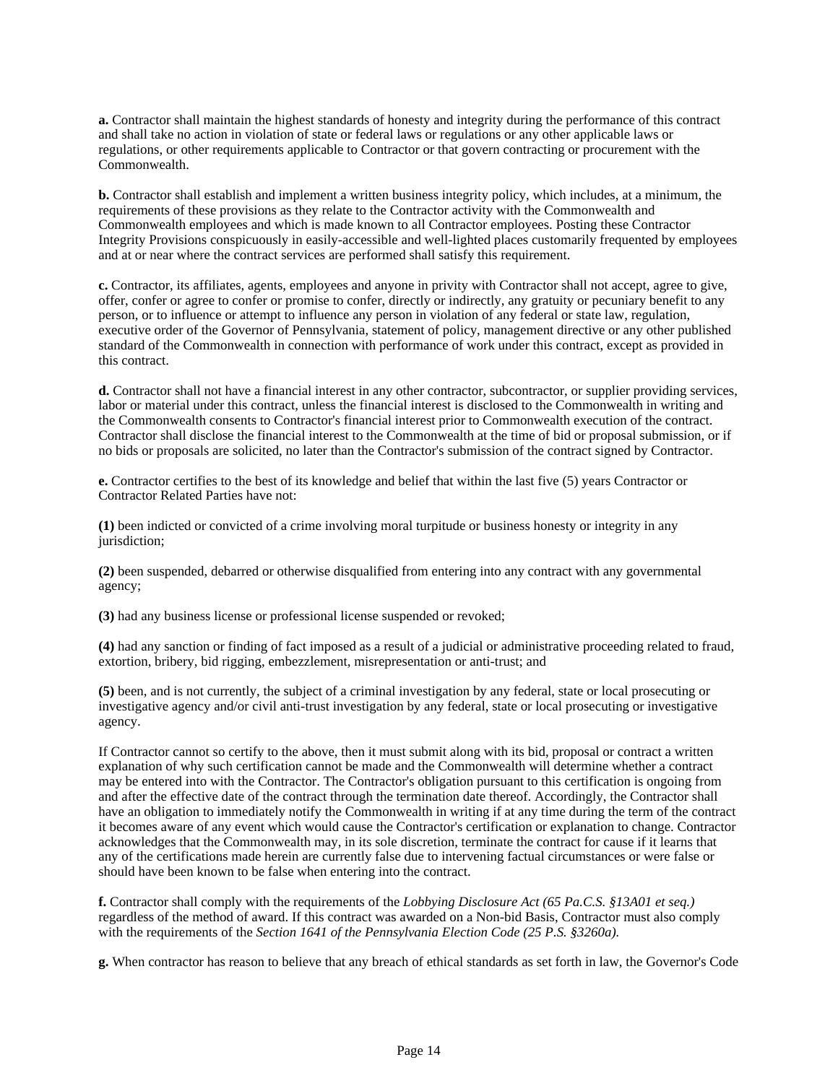**a.** Contractor shall maintain the highest standards of honesty and integrity during the performance of this contract and shall take no action in violation of state or federal laws or regulations or any other applicable laws or regulations, or other requirements applicable to Contractor or that govern contracting or procurement with the Commonwealth.

**b.** Contractor shall establish and implement a written business integrity policy, which includes, at a minimum, the requirements of these provisions as they relate to the Contractor activity with the Commonwealth and Commonwealth employees and which is made known to all Contractor employees. Posting these Contractor Integrity Provisions conspicuously in easily-accessible and well-lighted places customarily frequented by employees and at or near where the contract services are performed shall satisfy this requirement.

**c.** Contractor, its affiliates, agents, employees and anyone in privity with Contractor shall not accept, agree to give, offer, confer or agree to confer or promise to confer, directly or indirectly, any gratuity or pecuniary benefit to any person, or to influence or attempt to influence any person in violation of any federal or state law, regulation, executive order of the Governor of Pennsylvania, statement of policy, management directive or any other published standard of the Commonwealth in connection with performance of work under this contract, except as provided in this contract.

**d.** Contractor shall not have a financial interest in any other contractor, subcontractor, or supplier providing services, labor or material under this contract, unless the financial interest is disclosed to the Commonwealth in writing and the Commonwealth consents to Contractor's financial interest prior to Commonwealth execution of the contract. Contractor shall disclose the financial interest to the Commonwealth at the time of bid or proposal submission, or if no bids or proposals are solicited, no later than the Contractor's submission of the contract signed by Contractor.

**e.** Contractor certifies to the best of its knowledge and belief that within the last five (5) years Contractor or Contractor Related Parties have not:

**(1)** been indicted or convicted of a crime involving moral turpitude or business honesty or integrity in any jurisdiction;

**(2)** been suspended, debarred or otherwise disqualified from entering into any contract with any governmental agency;

**(3)** had any business license or professional license suspended or revoked;

**(4)** had any sanction or finding of fact imposed as a result of a judicial or administrative proceeding related to fraud, extortion, bribery, bid rigging, embezzlement, misrepresentation or anti-trust; and

**(5)** been, and is not currently, the subject of a criminal investigation by any federal, state or local prosecuting or investigative agency and/or civil anti-trust investigation by any federal, state or local prosecuting or investigative agency.

If Contractor cannot so certify to the above, then it must submit along with its bid, proposal or contract a written explanation of why such certification cannot be made and the Commonwealth will determine whether a contract may be entered into with the Contractor. The Contractor's obligation pursuant to this certification is ongoing from and after the effective date of the contract through the termination date thereof. Accordingly, the Contractor shall have an obligation to immediately notify the Commonwealth in writing if at any time during the term of the contract it becomes aware of any event which would cause the Contractor's certification or explanation to change. Contractor acknowledges that the Commonwealth may, in its sole discretion, terminate the contract for cause if it learns that any of the certifications made herein are currently false due to intervening factual circumstances or were false or should have been known to be false when entering into the contract.

**f.** Contractor shall comply with the requirements of the *Lobbying Disclosure Act (65 Pa.C.S. §13A01 et seq.)* regardless of the method of award. If this contract was awarded on a Non-bid Basis, Contractor must also comply with the requirements of the *Section 1641 of the Pennsylvania Election Code (25 P.S. §3260a).*

**g.** When contractor has reason to believe that any breach of ethical standards as set forth in law, the Governor's Code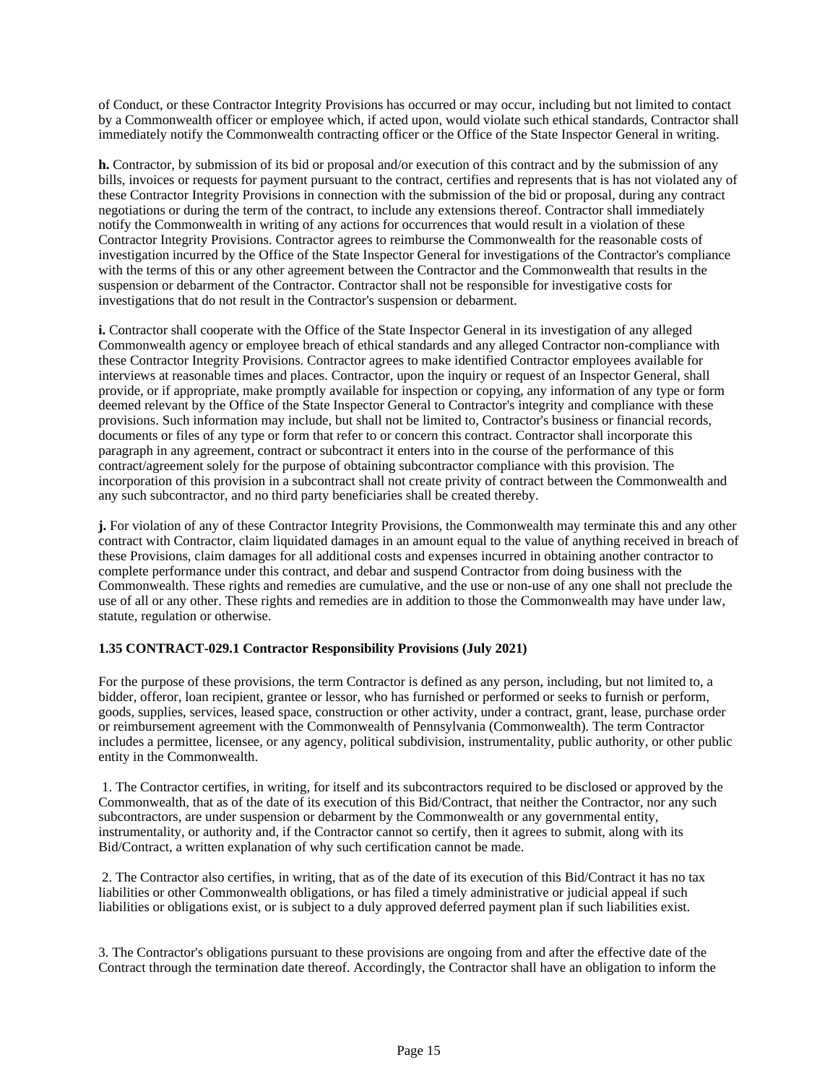of Conduct, or these Contractor Integrity Provisions has occurred or may occur, including but not limited to contact by a Commonwealth officer or employee which, if acted upon, would violate such ethical standards, Contractor shall immediately notify the Commonwealth contracting officer or the Office of the State Inspector General in writing.

**h.** Contractor, by submission of its bid or proposal and/or execution of this contract and by the submission of any bills, invoices or requests for payment pursuant to the contract, certifies and represents that is has not violated any of these Contractor Integrity Provisions in connection with the submission of the bid or proposal, during any contract negotiations or during the term of the contract, to include any extensions thereof. Contractor shall immediately notify the Commonwealth in writing of any actions for occurrences that would result in a violation of these Contractor Integrity Provisions. Contractor agrees to reimburse the Commonwealth for the reasonable costs of investigation incurred by the Office of the State Inspector General for investigations of the Contractor's compliance with the terms of this or any other agreement between the Contractor and the Commonwealth that results in the suspension or debarment of the Contractor. Contractor shall not be responsible for investigative costs for investigations that do not result in the Contractor's suspension or debarment.

**i.** Contractor shall cooperate with the Office of the State Inspector General in its investigation of any alleged Commonwealth agency or employee breach of ethical standards and any alleged Contractor non-compliance with these Contractor Integrity Provisions. Contractor agrees to make identified Contractor employees available for interviews at reasonable times and places. Contractor, upon the inquiry or request of an Inspector General, shall provide, or if appropriate, make promptly available for inspection or copying, any information of any type or form deemed relevant by the Office of the State Inspector General to Contractor's integrity and compliance with these provisions. Such information may include, but shall not be limited to, Contractor's business or financial records, documents or files of any type or form that refer to or concern this contract. Contractor shall incorporate this paragraph in any agreement, contract or subcontract it enters into in the course of the performance of this contract/agreement solely for the purpose of obtaining subcontractor compliance with this provision. The incorporation of this provision in a subcontract shall not create privity of contract between the Commonwealth and any such subcontractor, and no third party beneficiaries shall be created thereby.

**j.** For violation of any of these Contractor Integrity Provisions, the Commonwealth may terminate this and any other contract with Contractor, claim liquidated damages in an amount equal to the value of anything received in breach of these Provisions, claim damages for all additional costs and expenses incurred in obtaining another contractor to complete performance under this contract, and debar and suspend Contractor from doing business with the Commonwealth. These rights and remedies are cumulative, and the use or non-use of any one shall not preclude the use of all or any other. These rights and remedies are in addition to those the Commonwealth may have under law, statute, regulation or otherwise.

# **1.35 CONTRACT-029.1 Contractor Responsibility Provisions (July 2021)**

For the purpose of these provisions, the term Contractor is defined as any person, including, but not limited to, a bidder, offeror, loan recipient, grantee or lessor, who has furnished or performed or seeks to furnish or perform, goods, supplies, services, leased space, construction or other activity, under a contract, grant, lease, purchase order or reimbursement agreement with the Commonwealth of Pennsylvania (Commonwealth). The term Contractor includes a permittee, licensee, or any agency, political subdivision, instrumentality, public authority, or other public entity in the Commonwealth.

1. The Contractor certifies, in writing, for itself and its subcontractors required to be disclosed or approved by the Commonwealth, that as of the date of its execution of this Bid/Contract, that neither the Contractor, nor any such subcontractors, are under suspension or debarment by the Commonwealth or any governmental entity, instrumentality, or authority and, if the Contractor cannot so certify, then it agrees to submit, along with its Bid/Contract, a written explanation of why such certification cannot be made.

2. The Contractor also certifies, in writing, that as of the date of its execution of this Bid/Contract it has no tax liabilities or other Commonwealth obligations, or has filed a timely administrative or judicial appeal if such liabilities or obligations exist, or is subject to a duly approved deferred payment plan if such liabilities exist.

3. The Contractor's obligations pursuant to these provisions are ongoing from and after the effective date of the Contract through the termination date thereof. Accordingly, the Contractor shall have an obligation to inform the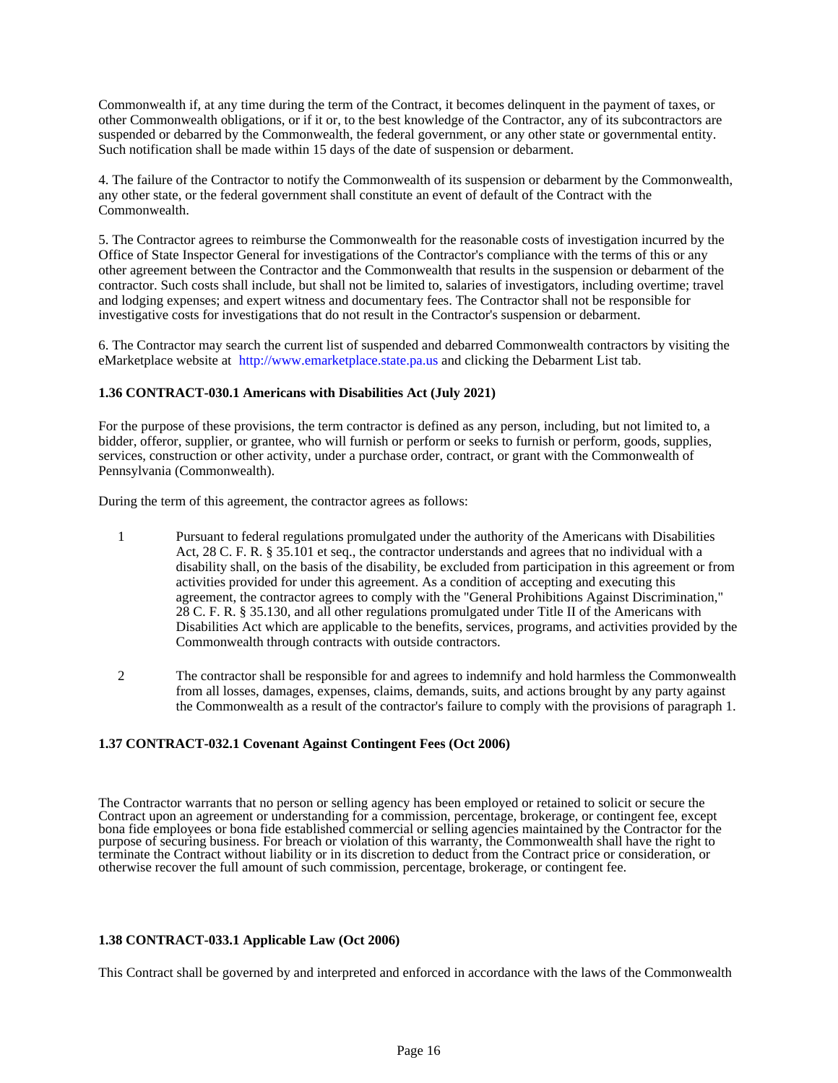Commonwealth if, at any time during the term of the Contract, it becomes delinquent in the payment of taxes, or other Commonwealth obligations, or if it or, to the best knowledge of the Contractor, any of its subcontractors are suspended or debarred by the Commonwealth, the federal government, or any other state or governmental entity. Such notification shall be made within 15 days of the date of suspension or debarment.

4. The failure of the Contractor to notify the Commonwealth of its suspension or debarment by the Commonwealth, any other state, or the federal government shall constitute an event of default of the Contract with the Commonwealth.

5. The Contractor agrees to reimburse the Commonwealth for the reasonable costs of investigation incurred by the Office of State Inspector General for investigations of the Contractor's compliance with the terms of this or any other agreement between the Contractor and the Commonwealth that results in the suspension or debarment of the contractor. Such costs shall include, but shall not be limited to, salaries of investigators, including overtime; travel and lodging expenses; and expert witness and documentary fees. The Contractor shall not be responsible for investigative costs for investigations that do not result in the Contractor's suspension or debarment.

6. The Contractor may search the current list of suspended and debarred Commonwealth contractors by visiting the eMarketplace website at http://www.emarketplace.state.pa.us and clicking the Debarment List tab.

### **1.36 CONTRACT-030.1 Americans with Disabilities Act (July 2021)**

For the purpose of these provisions, the term contractor is defined as any person, including, but not limited to, a bidder, offeror, supplier, or grantee, who will furnish or perform or seeks to furnish or perform, goods, supplies, services, construction or other activity, under a purchase order, contract, or grant with the Commonwealth of Pennsylvania (Commonwealth).

During the term of this agreement, the contractor agrees as follows:

- 1 Pursuant to federal regulations promulgated under the authority of the Americans with Disabilities Act, 28 C. F. R. § 35.101 et seq., the contractor understands and agrees that no individual with a disability shall, on the basis of the disability, be excluded from participation in this agreement or from activities provided for under this agreement. As a condition of accepting and executing this agreement, the contractor agrees to comply with the "General Prohibitions Against Discrimination," 28 C. F. R. § 35.130, and all other regulations promulgated under Title II of the Americans with Disabilities Act which are applicable to the benefits, services, programs, and activities provided by the Commonwealth through contracts with outside contractors.
- 2 The contractor shall be responsible for and agrees to indemnify and hold harmless the Commonwealth from all losses, damages, expenses, claims, demands, suits, and actions brought by any party against the Commonwealth as a result of the contractor's failure to comply with the provisions of paragraph 1.

### **1.37 CONTRACT-032.1 Covenant Against Contingent Fees (Oct 2006)**

The Contractor warrants that no person or selling agency has been employed or retained to solicit or secure the Contract upon an agreement or understanding for a commission, percentage, brokerage, or contingent fee, except bona fide employees or bona fide established commercial or selling agencies maintained by the Contractor for the purpose of securing business. For breach or violation of this warranty, the Commonwealth shall have the right to terminate the Contract without liability or in its discretion to deduct from the Contract price or consideration, or otherwise recover the full amount of such commission, percentage, brokerage, or contingent fee.

#### **1.38 CONTRACT-033.1 Applicable Law (Oct 2006)**

This Contract shall be governed by and interpreted and enforced in accordance with the laws of the Commonwealth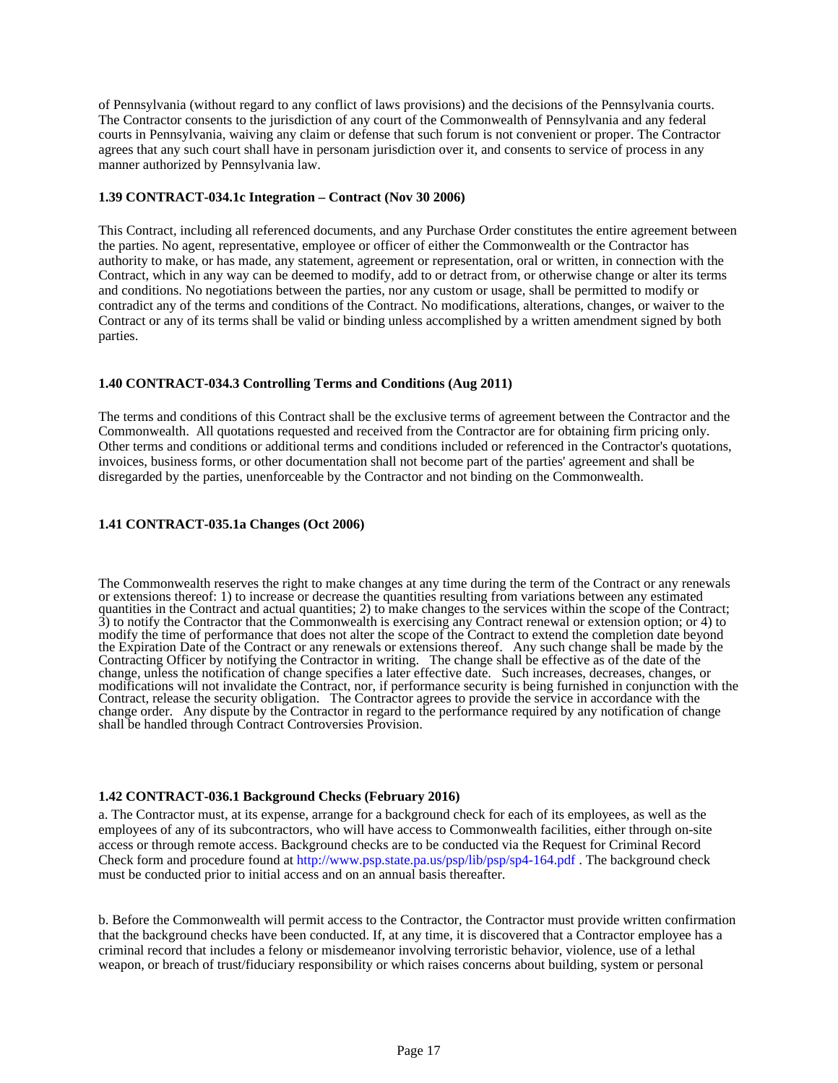of Pennsylvania (without regard to any conflict of laws provisions) and the decisions of the Pennsylvania courts. The Contractor consents to the jurisdiction of any court of the Commonwealth of Pennsylvania and any federal courts in Pennsylvania, waiving any claim or defense that such forum is not convenient or proper. The Contractor agrees that any such court shall have in personam jurisdiction over it, and consents to service of process in any manner authorized by Pennsylvania law.

#### **1.39 CONTRACT-034.1c Integration – Contract (Nov 30 2006)**

This Contract, including all referenced documents, and any Purchase Order constitutes the entire agreement between the parties. No agent, representative, employee or officer of either the Commonwealth or the Contractor has authority to make, or has made, any statement, agreement or representation, oral or written, in connection with the Contract, which in any way can be deemed to modify, add to or detract from, or otherwise change or alter its terms and conditions. No negotiations between the parties, nor any custom or usage, shall be permitted to modify or contradict any of the terms and conditions of the Contract. No modifications, alterations, changes, or waiver to the Contract or any of its terms shall be valid or binding unless accomplished by a written amendment signed by both parties.

# **1.40 CONTRACT-034.3 Controlling Terms and Conditions (Aug 2011)**

The terms and conditions of this Contract shall be the exclusive terms of agreement between the Contractor and the Commonwealth. All quotations requested and received from the Contractor are for obtaining firm pricing only. Other terms and conditions or additional terms and conditions included or referenced in the Contractor's quotations, invoices, business forms, or other documentation shall not become part of the parties' agreement and shall be disregarded by the parties, unenforceable by the Contractor and not binding on the Commonwealth.

### **1.41 CONTRACT-035.1a Changes (Oct 2006)**

The Commonwealth reserves the right to make changes at any time during the term of the Contract or any renewals or extensions thereof: 1) to increase or decrease the quantities resulting from variations between any estimated quantities in the Contract and actual quantities; 2) to make changes to the services within the scope of the Contract; 3) to notify the Contractor that the Commonwealth is exercising any Contract renewal or extension option; or 4) to modify the time of performance that does not alter the scope of the Contract to extend the completion date beyond the Expiration Date of the Contract or any renewals or extensions thereof. Any such change shall be made by the Contracting Officer by notifying the Contractor in writing. The change shall be effective as of the date of the change, unless the notification of change specifies a later effective date. Such increases, decreases, changes, or modifications will not invalidate the Contract, nor, if performance security is being furnished in conjunction with the Contract, release the security obligation. The Contractor agrees to provide the service in accordance with the change order. Any dispute by the Contractor in regard to the performance required by any notification of change shall be handled through Contract Controversies Provision.

#### **1.42 CONTRACT-036.1 Background Checks (February 2016)**

a. The Contractor must, at its expense, arrange for a background check for each of its employees, as well as the employees of any of its subcontractors, who will have access to Commonwealth facilities, either through on-site access or through remote access. Background checks are to be conducted via the Request for Criminal Record Check form and procedure found at http://www.psp.state.pa.us/psp/lib/psp/sp4-164.pdf . The background check must be conducted prior to initial access and on an annual basis thereafter.

b. Before the Commonwealth will permit access to the Contractor, the Contractor must provide written confirmation that the background checks have been conducted. If, at any time, it is discovered that a Contractor employee has a criminal record that includes a felony or misdemeanor involving terroristic behavior, violence, use of a lethal weapon, or breach of trust/fiduciary responsibility or which raises concerns about building, system or personal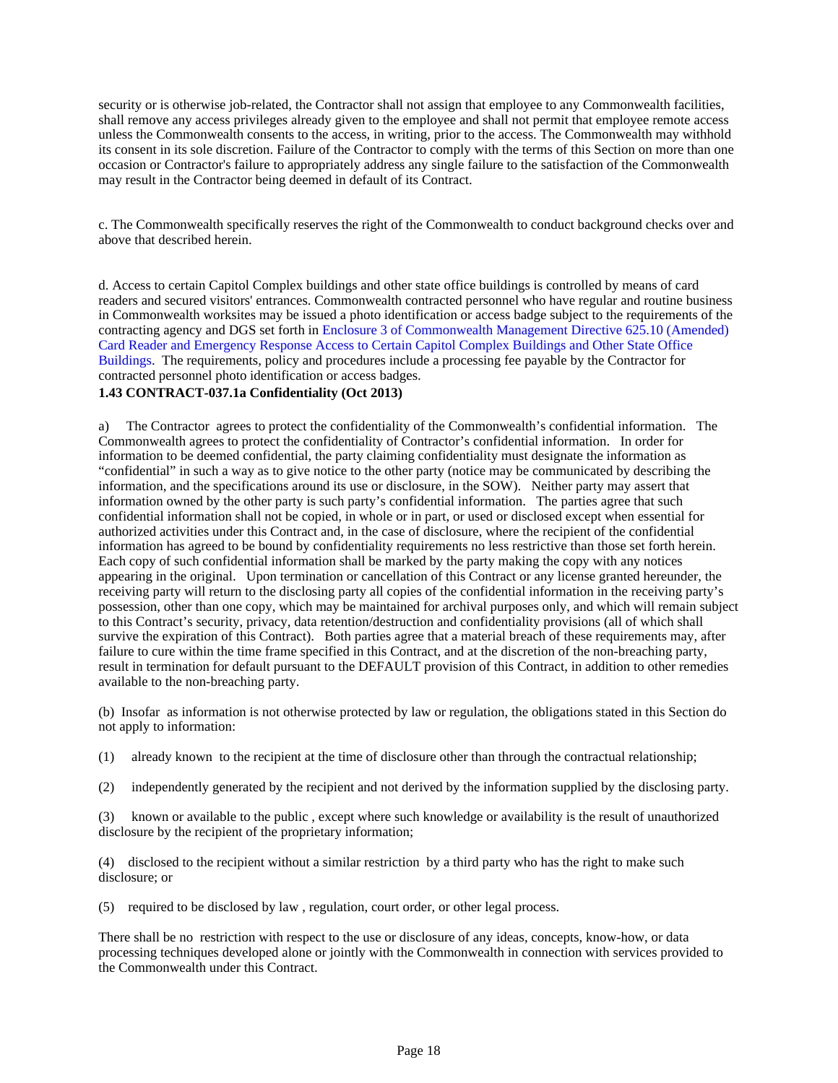security or is otherwise job-related, the Contractor shall not assign that employee to any Commonwealth facilities, shall remove any access privileges already given to the employee and shall not permit that employee remote access unless the Commonwealth consents to the access, in writing, prior to the access. The Commonwealth may withhold its consent in its sole discretion. Failure of the Contractor to comply with the terms of this Section on more than one occasion or Contractor's failure to appropriately address any single failure to the satisfaction of the Commonwealth may result in the Contractor being deemed in default of its Contract.

c. The Commonwealth specifically reserves the right of the Commonwealth to conduct background checks over and above that described herein.

d. Access to certain Capitol Complex buildings and other state office buildings is controlled by means of card readers and secured visitors' entrances. Commonwealth contracted personnel who have regular and routine business in Commonwealth worksites may be issued a photo identification or access badge subject to the requirements of the contracting agency and DGS set forth in Enclosure 3 of Commonwealth Management Directive 625.10 (Amended) Card Reader and Emergency Response Access to Certain Capitol Complex Buildings and Other State Office Buildings. The requirements, policy and procedures include a processing fee payable by the Contractor for contracted personnel photo identification or access badges.

### **1.43 CONTRACT-037.1a Confidentiality (Oct 2013)**

a) The Contractor agrees to protect the confidentiality of the Commonwealth's confidential information. The Commonwealth agrees to protect the confidentiality of Contractor's confidential information. In order for information to be deemed confidential, the party claiming confidentiality must designate the information as "confidential" in such a way as to give notice to the other party (notice may be communicated by describing the information, and the specifications around its use or disclosure, in the SOW). Neither party may assert that information owned by the other party is such party's confidential information. The parties agree that such confidential information shall not be copied, in whole or in part, or used or disclosed except when essential for authorized activities under this Contract and, in the case of disclosure, where the recipient of the confidential information has agreed to be bound by confidentiality requirements no less restrictive than those set forth herein. Each copy of such confidential information shall be marked by the party making the copy with any notices appearing in the original. Upon termination or cancellation of this Contract or any license granted hereunder, the receiving party will return to the disclosing party all copies of the confidential information in the receiving party's possession, other than one copy, which may be maintained for archival purposes only, and which will remain subject to this Contract's security, privacy, data retention/destruction and confidentiality provisions (all of which shall survive the expiration of this Contract). Both parties agree that a material breach of these requirements may, after failure to cure within the time frame specified in this Contract, and at the discretion of the non-breaching party, result in termination for default pursuant to the DEFAULT provision of this Contract, in addition to other remedies available to the non-breaching party.

(b) Insofar as information is not otherwise protected by law or regulation, the obligations stated in this Section do not apply to information:

- (1) already known to the recipient at the time of disclosure other than through the contractual relationship;
- (2) independently generated by the recipient and not derived by the information supplied by the disclosing party.

(3) known or available to the public , except where such knowledge or availability is the result of unauthorized disclosure by the recipient of the proprietary information;

(4) disclosed to the recipient without a similar restriction by a third party who has the right to make such disclosure; or

(5) required to be disclosed by law , regulation, court order, or other legal process.

There shall be no restriction with respect to the use or disclosure of any ideas, concepts, know-how, or data processing techniques developed alone or jointly with the Commonwealth in connection with services provided to the Commonwealth under this Contract.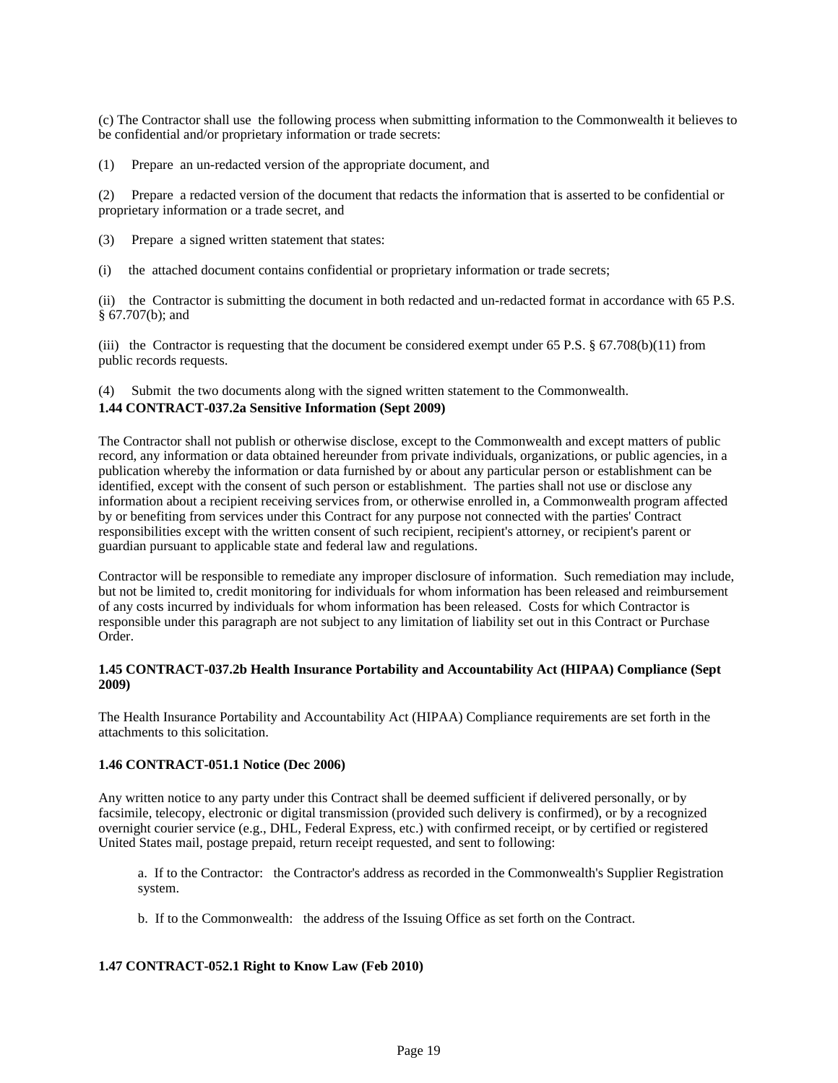(c) The Contractor shall use the following process when submitting information to the Commonwealth it believes to be confidential and/or proprietary information or trade secrets:

(1) Prepare an un-redacted version of the appropriate document, and

(2) Prepare a redacted version of the document that redacts the information that is asserted to be confidential or proprietary information or a trade secret, and

- (3) Prepare a signed written statement that states:
- (i) the attached document contains confidential or proprietary information or trade secrets;

(ii) the Contractor is submitting the document in both redacted and un-redacted format in accordance with 65 P.S. § 67.707(b); and

(iii) the Contractor is requesting that the document be considered exempt under 65 P.S.  $\S$  67.708(b)(11) from public records requests.

(4) Submit the two documents along with the signed written statement to the Commonwealth. **1.44 CONTRACT-037.2a Sensitive Information (Sept 2009)**

The Contractor shall not publish or otherwise disclose, except to the Commonwealth and except matters of public record, any information or data obtained hereunder from private individuals, organizations, or public agencies, in a publication whereby the information or data furnished by or about any particular person or establishment can be identified, except with the consent of such person or establishment. The parties shall not use or disclose any information about a recipient receiving services from, or otherwise enrolled in, a Commonwealth program affected by or benefiting from services under this Contract for any purpose not connected with the parties' Contract responsibilities except with the written consent of such recipient, recipient's attorney, or recipient's parent or guardian pursuant to applicable state and federal law and regulations.

Contractor will be responsible to remediate any improper disclosure of information. Such remediation may include, but not be limited to, credit monitoring for individuals for whom information has been released and reimbursement of any costs incurred by individuals for whom information has been released. Costs for which Contractor is responsible under this paragraph are not subject to any limitation of liability set out in this Contract or Purchase Order.

# **1.45 CONTRACT-037.2b Health Insurance Portability and Accountability Act (HIPAA) Compliance (Sept 2009)**

The Health Insurance Portability and Accountability Act (HIPAA) Compliance requirements are set forth in the attachments to this solicitation.

# **1.46 CONTRACT-051.1 Notice (Dec 2006)**

Any written notice to any party under this Contract shall be deemed sufficient if delivered personally, or by facsimile, telecopy, electronic or digital transmission (provided such delivery is confirmed), or by a recognized overnight courier service (e.g., DHL, Federal Express, etc.) with confirmed receipt, or by certified or registered United States mail, postage prepaid, return receipt requested, and sent to following:

a. If to the Contractor: the Contractor's address as recorded in the Commonwealth's Supplier Registration system.

b. If to the Commonwealth: the address of the Issuing Office as set forth on the Contract.

# **1.47 CONTRACT-052.1 Right to Know Law (Feb 2010)**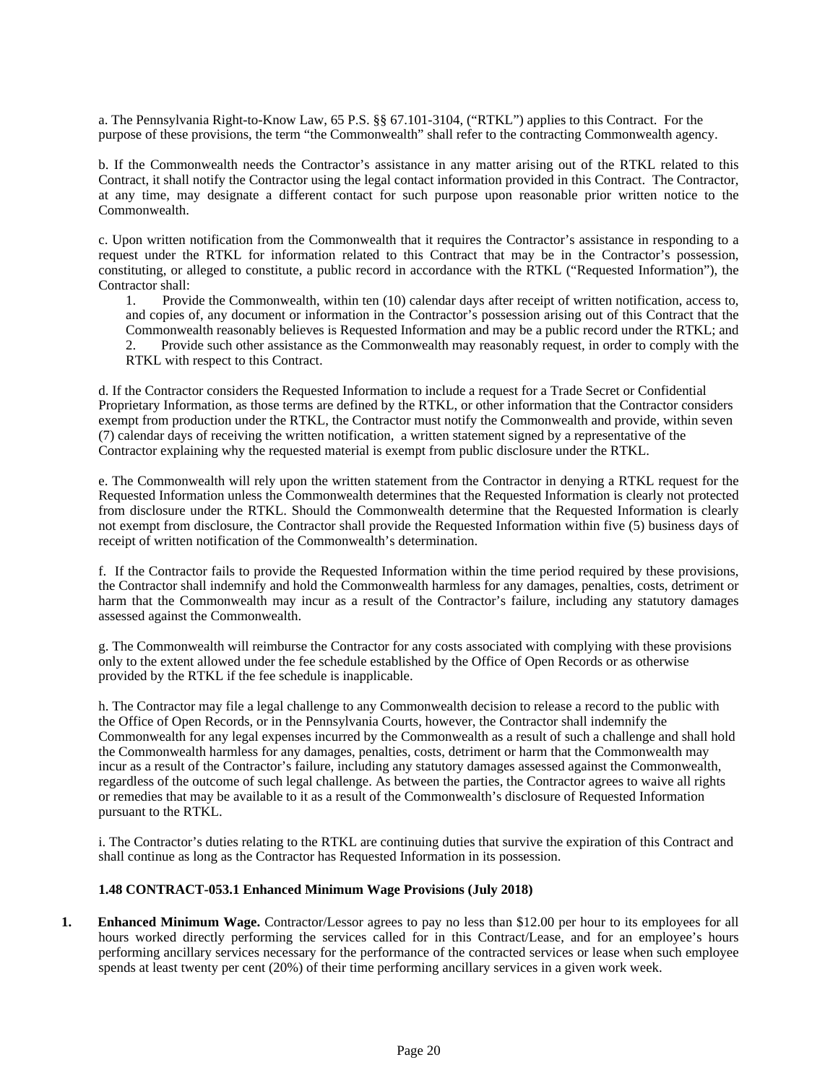a. The Pennsylvania Right-to-Know Law, 65 P.S. §§ 67.101-3104, ("RTKL") applies to this Contract. For the purpose of these provisions, the term "the Commonwealth" shall refer to the contracting Commonwealth agency.

b. If the Commonwealth needs the Contractor's assistance in any matter arising out of the RTKL related to this Contract, it shall notify the Contractor using the legal contact information provided in this Contract. The Contractor, at any time, may designate a different contact for such purpose upon reasonable prior written notice to the Commonwealth.

c. Upon written notification from the Commonwealth that it requires the Contractor's assistance in responding to a request under the RTKL for information related to this Contract that may be in the Contractor's possession, constituting, or alleged to constitute, a public record in accordance with the RTKL ("Requested Information"), the Contractor shall:

1. Provide the Commonwealth, within ten (10) calendar days after receipt of written notification, access to, and copies of, any document or information in the Contractor's possession arising out of this Contract that the Commonwealth reasonably believes is Requested Information and may be a public record under the RTKL; and 2. Provide such other assistance as the Commonwealth may reasonably request, in order to comply with the RTKL with respect to this Contract.

d. If the Contractor considers the Requested Information to include a request for a Trade Secret or Confidential Proprietary Information, as those terms are defined by the RTKL, or other information that the Contractor considers exempt from production under the RTKL, the Contractor must notify the Commonwealth and provide, within seven (7) calendar days of receiving the written notification, a written statement signed by a representative of the Contractor explaining why the requested material is exempt from public disclosure under the RTKL.

e. The Commonwealth will rely upon the written statement from the Contractor in denying a RTKL request for the Requested Information unless the Commonwealth determines that the Requested Information is clearly not protected from disclosure under the RTKL. Should the Commonwealth determine that the Requested Information is clearly not exempt from disclosure, the Contractor shall provide the Requested Information within five (5) business days of receipt of written notification of the Commonwealth's determination.

f. If the Contractor fails to provide the Requested Information within the time period required by these provisions, the Contractor shall indemnify and hold the Commonwealth harmless for any damages, penalties, costs, detriment or harm that the Commonwealth may incur as a result of the Contractor's failure, including any statutory damages assessed against the Commonwealth.

g. The Commonwealth will reimburse the Contractor for any costs associated with complying with these provisions only to the extent allowed under the fee schedule established by the Office of Open Records or as otherwise provided by the RTKL if the fee schedule is inapplicable.

h. The Contractor may file a legal challenge to any Commonwealth decision to release a record to the public with the Office of Open Records, or in the Pennsylvania Courts, however, the Contractor shall indemnify the Commonwealth for any legal expenses incurred by the Commonwealth as a result of such a challenge and shall hold the Commonwealth harmless for any damages, penalties, costs, detriment or harm that the Commonwealth may incur as a result of the Contractor's failure, including any statutory damages assessed against the Commonwealth, regardless of the outcome of such legal challenge. As between the parties, the Contractor agrees to waive all rights or remedies that may be available to it as a result of the Commonwealth's disclosure of Requested Information pursuant to the RTKL.

i. The Contractor's duties relating to the RTKL are continuing duties that survive the expiration of this Contract and shall continue as long as the Contractor has Requested Information in its possession.

### **1.48 CONTRACT-053.1 Enhanced Minimum Wage Provisions (July 2018)**

**1. Enhanced Minimum Wage.** Contractor/Lessor agrees to pay no less than \$12.00 per hour to its employees for all hours worked directly performing the services called for in this Contract/Lease, and for an employee's hours performing ancillary services necessary for the performance of the contracted services or lease when such employee spends at least twenty per cent (20%) of their time performing ancillary services in a given work week.